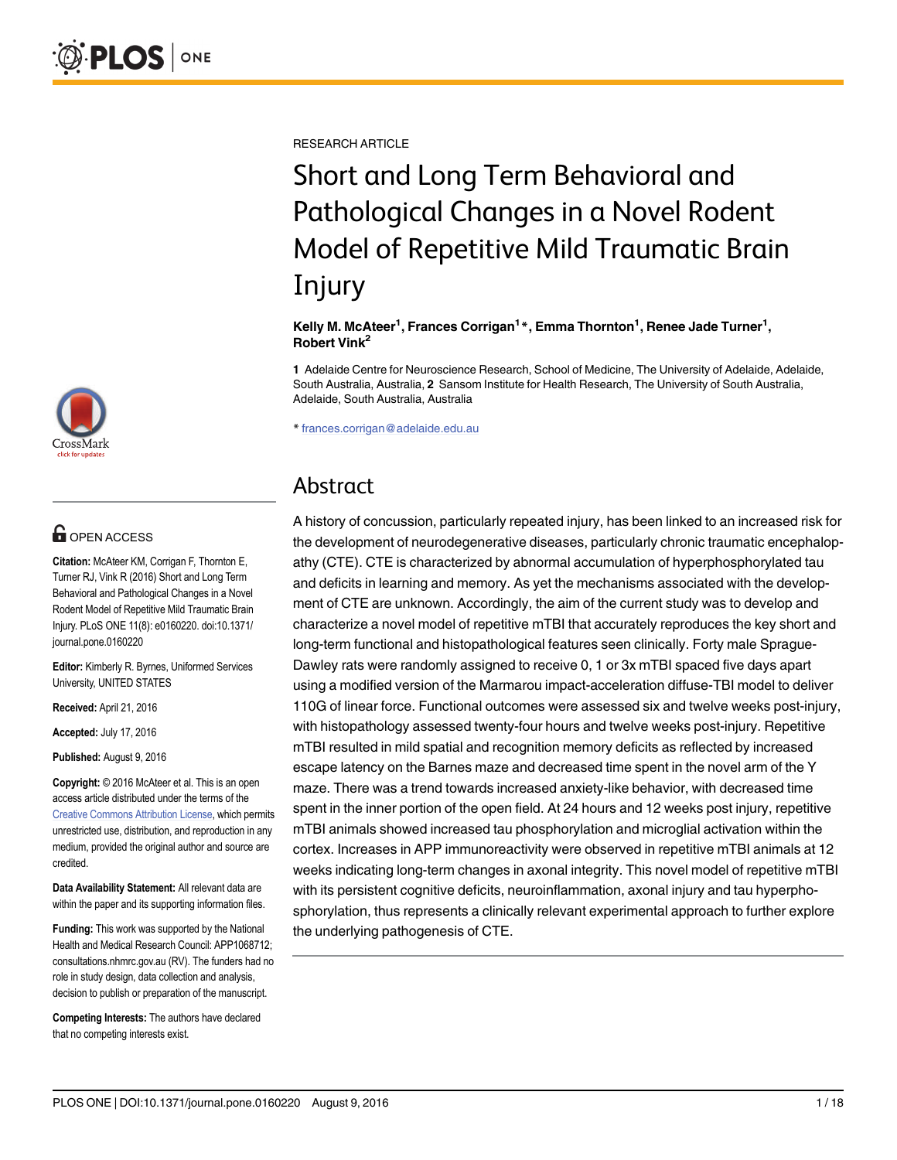RESEARCH ARTICLE

# Short and Long Term Behavioral and Pathological Changes in a Novel Rodent Model of Repetitive Mild Traumatic Brain Injury

Kelly M. McAteer<sup>1</sup>, Frances Corrigan<sup>1</sup>\*, Emma Thornton<sup>1</sup>, Renee Jade Turner<sup>1</sup>, Robert Vink2

1 Adelaide Centre for Neuroscience Research, School of Medicine, The University of Adelaide, Adelaide, South Australia, Australia, 2 Sansom Institute for Health Research, The University of South Australia, Adelaide, South Australia, Australia

\* frances.corrigan@adelaide.edu.au

## Abstract

A history of concussion, particularly repeated injury, has been linked to an increased risk for the development of neurodegenerative diseases, particularly chronic traumatic encephalopathy (CTE). CTE is characterized by abnormal accumulation of hyperphosphorylated tau and deficits in learning and memory. As yet the mechanisms associated with the development of CTE are unknown. Accordingly, the aim of the current study was to develop and characterize a novel model of repetitive mTBI that accurately reproduces the key short and long-term functional and histopathological features seen clinically. Forty male Sprague-Dawley rats were randomly assigned to receive 0, 1 or 3x mTBI spaced five days apart using a modified version of the Marmarou impact-acceleration diffuse-TBI model to deliver 110G of linear force. Functional outcomes were assessed six and twelve weeks post-injury, with histopathology assessed twenty-four hours and twelve weeks post-injury. Repetitive mTBI resulted in mild spatial and recognition memory deficits as reflected by increased escape latency on the Barnes maze and decreased time spent in the novel arm of the Y maze. There was a trend towards increased anxiety-like behavior, with decreased time spent in the inner portion of the open field. At 24 hours and 12 weeks post injury, repetitive mTBI animals showed increased tau phosphorylation and microglial activation within the cortex. Increases in APP immunoreactivity were observed in repetitive mTBI animals at 12 weeks indicating long-term changes in axonal integrity. This novel model of repetitive mTBI with its persistent cognitive deficits, neuroinflammation, axonal injury and tau hyperphosphorylation, thus represents a clinically relevant experimental approach to further explore the underlying pathogenesis of CTE.



## **OPEN ACCESS**

Citation: McAteer KM, Corrigan F, Thornton E, Turner RJ, Vink R (2016) Short and Long Term Behavioral and Pathological Changes in a Novel Rodent Model of Repetitive Mild Traumatic Brain Injury. PLoS ONE 11(8): e0160220. doi:10.1371/ journal.pone.0160220

Editor: Kimberly R. Byrnes, Uniformed Services University, UNITED STATES

Received: April 21, 2016

Accepted: July 17, 2016

Published: August 9, 2016

Copyright: © 2016 McAteer et al. This is an open access article distributed under the terms of the [Creative Commons Attribution License,](http://creativecommons.org/licenses/by/4.0/) which permits unrestricted use, distribution, and reproduction in any medium, provided the original author and source are credited.

Data Availability Statement: All relevant data are within the paper and its supporting information files.

Funding: This work was supported by the National Health and Medical Research Council: APP1068712; consultations.nhmrc.gov.au (RV). The funders had no role in study design, data collection and analysis, decision to publish or preparation of the manuscript.

Competing Interests: The authors have declared that no competing interests exist.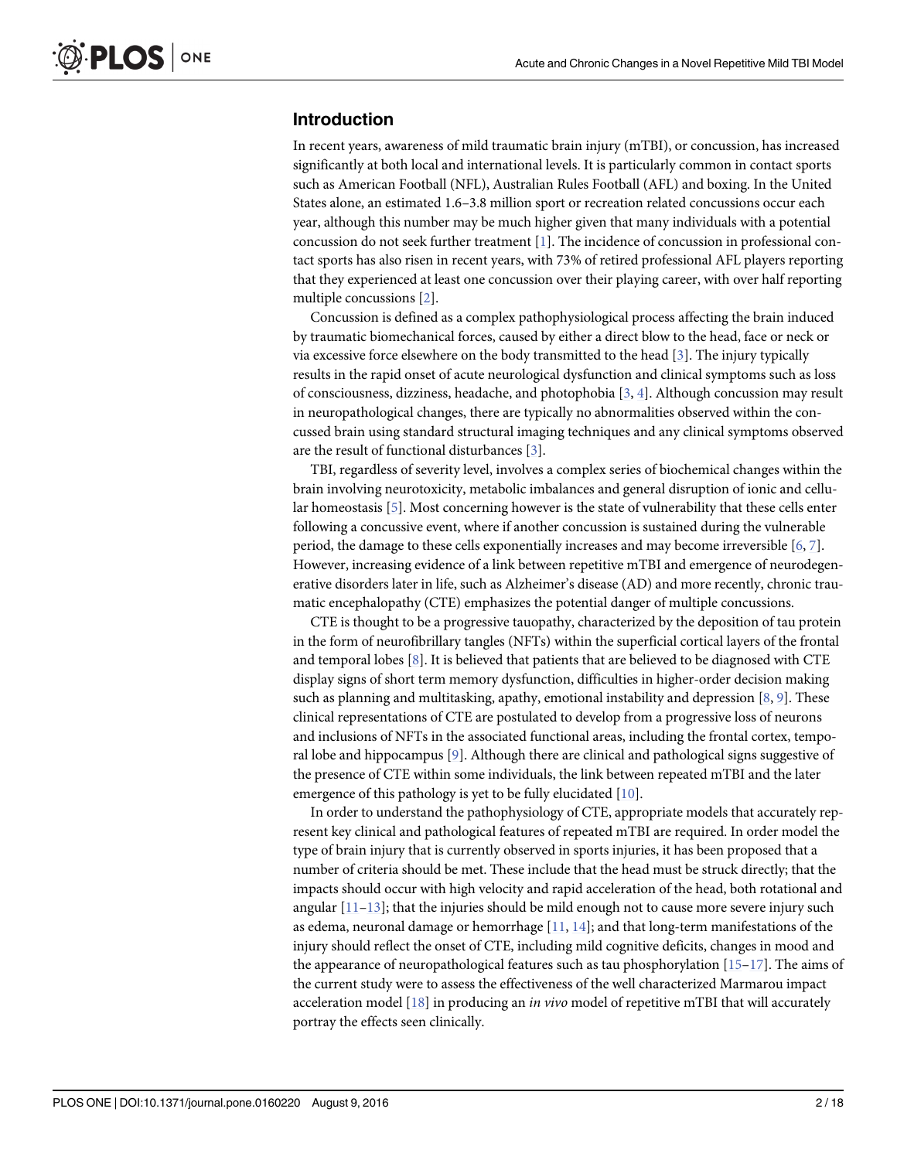## <span id="page-1-0"></span>Introduction

In recent years, awareness of mild traumatic brain injury (mTBI), or concussion, has increased significantly at both local and international levels. It is particularly common in contact sports such as American Football (NFL), Australian Rules Football (AFL) and boxing. In the United States alone, an estimated 1.6–3.8 million sport or recreation related concussions occur each year, although this number may be much higher given that many individuals with a potential concussion do not seek further treatment [\[1](#page-13-0)]. The incidence of concussion in professional contact sports has also risen in recent years, with 73% of retired professional AFL players reporting that they experienced at least one concussion over their playing career, with over half reporting multiple concussions [\[2\]](#page-13-0).

Concussion is defined as a complex pathophysiological process affecting the brain induced by traumatic biomechanical forces, caused by either a direct blow to the head, face or neck or via excessive force elsewhere on the body transmitted to the head [\[3](#page-13-0)]. The injury typically results in the rapid onset of acute neurological dysfunction and clinical symptoms such as loss of consciousness, dizziness, headache, and photophobia  $[3, 4]$  $[3, 4]$  $[3, 4]$  $[3, 4]$ . Although concussion may result in neuropathological changes, there are typically no abnormalities observed within the concussed brain using standard structural imaging techniques and any clinical symptoms observed are the result of functional disturbances [\[3](#page-13-0)].

TBI, regardless of severity level, involves a complex series of biochemical changes within the brain involving neurotoxicity, metabolic imbalances and general disruption of ionic and cellu-lar homeostasis [[5\]](#page-14-0). Most concerning however is the state of vulnerability that these cells enter following a concussive event, where if another concussion is sustained during the vulnerable period, the damage to these cells exponentially increases and may become irreversible [\[6](#page-14-0), [7](#page-14-0)]. However, increasing evidence of a link between repetitive mTBI and emergence of neurodegenerative disorders later in life, such as Alzheimer's disease (AD) and more recently, chronic traumatic encephalopathy (CTE) emphasizes the potential danger of multiple concussions.

CTE is thought to be a progressive tauopathy, characterized by the deposition of tau protein in the form of neurofibrillary tangles (NFTs) within the superficial cortical layers of the frontal and temporal lobes  $[8]$  $[8]$ . It is believed that patients that are believed to be diagnosed with CTE display signs of short term memory dysfunction, difficulties in higher-order decision making such as planning and multitasking, apathy, emotional instability and depression  $[8, 9]$  $[8, 9]$  $[8, 9]$  $[8, 9]$ . These clinical representations of CTE are postulated to develop from a progressive loss of neurons and inclusions of NFTs in the associated functional areas, including the frontal cortex, temporal lobe and hippocampus [[9](#page-14-0)]. Although there are clinical and pathological signs suggestive of the presence of CTE within some individuals, the link between repeated mTBI and the later emergence of this pathology is yet to be fully elucidated [[10](#page-14-0)].

In order to understand the pathophysiology of CTE, appropriate models that accurately represent key clinical and pathological features of repeated mTBI are required. In order model the type of brain injury that is currently observed in sports injuries, it has been proposed that a number of criteria should be met. These include that the head must be struck directly; that the impacts should occur with high velocity and rapid acceleration of the head, both rotational and angular  $[11-13]$  $[11-13]$  $[11-13]$  $[11-13]$  $[11-13]$ ; that the injuries should be mild enough not to cause more severe injury such as edema, neuronal damage or hemorrhage  $[11, 14]$  $[11, 14]$  $[11, 14]$  $[11, 14]$  $[11, 14]$ ; and that long-term manifestations of the injury should reflect the onset of CTE, including mild cognitive deficits, changes in mood and the appearance of neuropathological features such as tau phosphorylation  $[15-17]$  $[15-17]$  $[15-17]$  $[15-17]$ . The aims of the current study were to assess the effectiveness of the well characterized Marmarou impact acceleration model  $[18]$  $[18]$  $[18]$  in producing an in vivo model of repetitive mTBI that will accurately portray the effects seen clinically.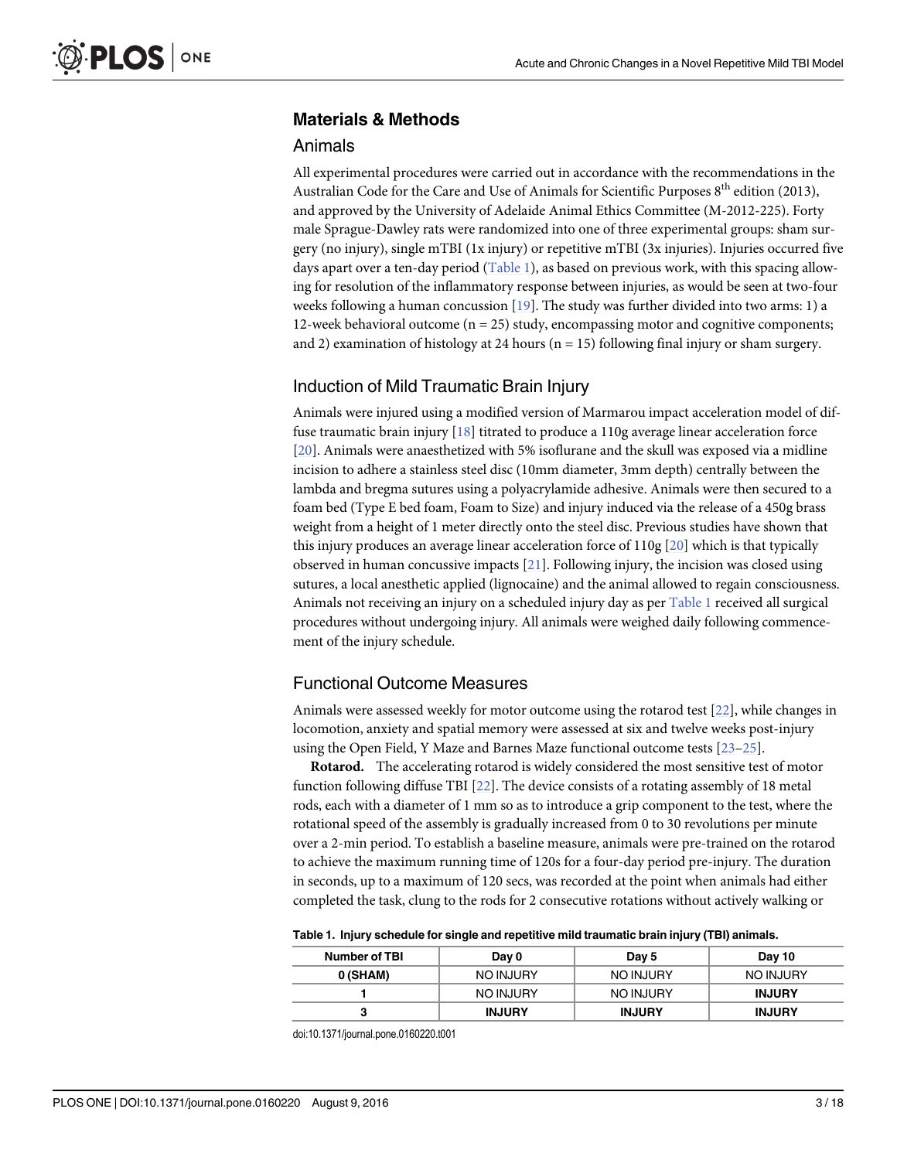## <span id="page-2-0"></span>Materials & Methods

#### Animals

All experimental procedures were carried out in accordance with the recommendations in the Australian Code for the Care and Use of Animals for Scientific Purposes 8<sup>th</sup> edition (2013), and approved by the University of Adelaide Animal Ethics Committee (M-2012-225). Forty male Sprague-Dawley rats were randomized into one of three experimental groups: sham surgery (no injury), single mTBI (1x injury) or repetitive mTBI (3x injuries). Injuries occurred five days apart over a ten-day period (Table 1), as based on previous work, with this spacing allowing for resolution of the inflammatory response between injuries, as would be seen at two-four weeks following a human concussion  $[19]$  $[19]$  $[19]$ . The study was further divided into two arms: 1) a 12-week behavioral outcome  $(n = 25)$  study, encompassing motor and cognitive components; and 2) examination of histology at 24 hours ( $n = 15$ ) following final injury or sham surgery.

## Induction of Mild Traumatic Brain Injury

Animals were injured using a modified version of Marmarou impact acceleration model of diffuse traumatic brain injury  $[18]$  $[18]$  $[18]$  titrated to produce a 110g average linear acceleration force [\[20](#page-14-0)]. Animals were anaesthetized with 5% isoflurane and the skull was exposed via a midline incision to adhere a stainless steel disc (10mm diameter, 3mm depth) centrally between the lambda and bregma sutures using a polyacrylamide adhesive. Animals were then secured to a foam bed (Type E bed foam, Foam to Size) and injury induced via the release of a 450g brass weight from a height of 1 meter directly onto the steel disc. Previous studies have shown that this injury produces an average linear acceleration force of 110g [\[20\]](#page-14-0) which is that typically observed in human concussive impacts  $[21]$ . Following injury, the incision was closed using sutures, a local anesthetic applied (lignocaine) and the animal allowed to regain consciousness. Animals not receiving an injury on a scheduled injury day as per Table 1 received all surgical procedures without undergoing injury. All animals were weighed daily following commencement of the injury schedule.

## Functional Outcome Measures

Animals were assessed weekly for motor outcome using the rotarod test  $[22]$  $[22]$  $[22]$ , while changes in locomotion, anxiety and spatial memory were assessed at six and twelve weeks post-injury using the Open Field, Y Maze and Barnes Maze functional outcome tests [\[23](#page-14-0)–[25\]](#page-15-0).

Rotarod. The accelerating rotarod is widely considered the most sensitive test of motor function following diffuse TBI [\[22\]](#page-14-0). The device consists of a rotating assembly of 18 metal rods, each with a diameter of 1 mm so as to introduce a grip component to the test, where the rotational speed of the assembly is gradually increased from 0 to 30 revolutions per minute over a 2-min period. To establish a baseline measure, animals were pre-trained on the rotarod to achieve the maximum running time of 120s for a four-day period pre-injury. The duration in seconds, up to a maximum of 120 secs, was recorded at the point when animals had either completed the task, clung to the rods for 2 consecutive rotations without actively walking or

Table 1. Injury schedule for single and repetitive mild traumatic brain injury (TBI) animals.

| <b>Number of TBI</b> | Day 0         | Day 5         | Day 10        |
|----------------------|---------------|---------------|---------------|
| 0 (SHAM)             | NO INJURY     | NO INJURY     | NO INJURY     |
|                      | NO INJURY     | NO INJURY     | <b>INJURY</b> |
|                      | <b>INJURY</b> | <b>INJURY</b> | <b>INJURY</b> |

doi:10.1371/journal.pone.0160220.t001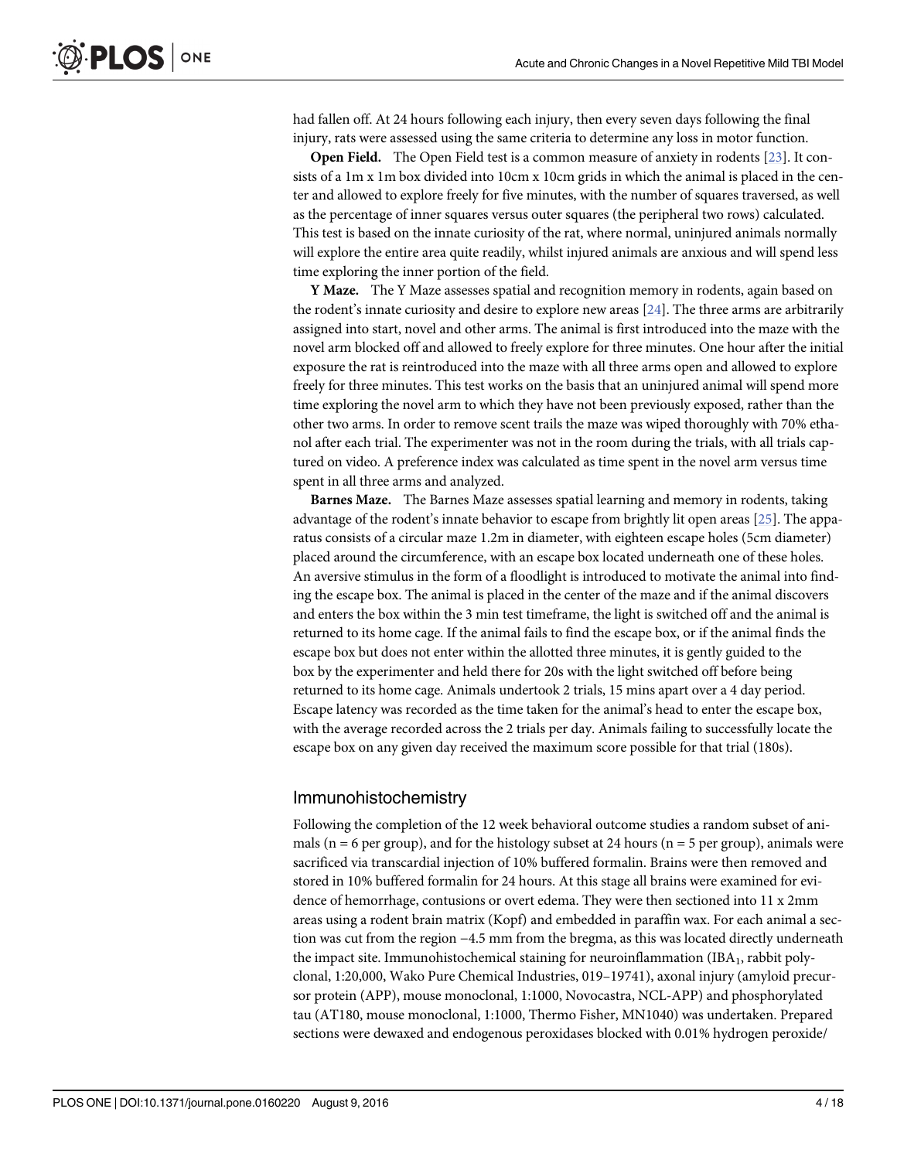<span id="page-3-0"></span>had fallen off. At 24 hours following each injury, then every seven days following the final injury, rats were assessed using the same criteria to determine any loss in motor function.

Open Field. The Open Field test is a common measure of anxiety in rodents [[23](#page-14-0)]. It consists of a 1m x 1m box divided into 10cm x 10cm grids in which the animal is placed in the center and allowed to explore freely for five minutes, with the number of squares traversed, as well as the percentage of inner squares versus outer squares (the peripheral two rows) calculated. This test is based on the innate curiosity of the rat, where normal, uninjured animals normally will explore the entire area quite readily, whilst injured animals are anxious and will spend less time exploring the inner portion of the field.

Y Maze. The Y Maze assesses spatial and recognition memory in rodents, again based on the rodent's innate curiosity and desire to explore new areas [[24\]](#page-15-0). The three arms are arbitrarily assigned into start, novel and other arms. The animal is first introduced into the maze with the novel arm blocked off and allowed to freely explore for three minutes. One hour after the initial exposure the rat is reintroduced into the maze with all three arms open and allowed to explore freely for three minutes. This test works on the basis that an uninjured animal will spend more time exploring the novel arm to which they have not been previously exposed, rather than the other two arms. In order to remove scent trails the maze was wiped thoroughly with 70% ethanol after each trial. The experimenter was not in the room during the trials, with all trials captured on video. A preference index was calculated as time spent in the novel arm versus time spent in all three arms and analyzed.

Barnes Maze. The Barnes Maze assesses spatial learning and memory in rodents, taking advantage of the rodent's innate behavior to escape from brightly lit open areas  $[25]$  $[25]$  $[25]$ . The apparatus consists of a circular maze 1.2m in diameter, with eighteen escape holes (5cm diameter) placed around the circumference, with an escape box located underneath one of these holes. An aversive stimulus in the form of a floodlight is introduced to motivate the animal into finding the escape box. The animal is placed in the center of the maze and if the animal discovers and enters the box within the 3 min test timeframe, the light is switched off and the animal is returned to its home cage. If the animal fails to find the escape box, or if the animal finds the escape box but does not enter within the allotted three minutes, it is gently guided to the box by the experimenter and held there for 20s with the light switched off before being returned to its home cage. Animals undertook 2 trials, 15 mins apart over a 4 day period. Escape latency was recorded as the time taken for the animal's head to enter the escape box, with the average recorded across the 2 trials per day. Animals failing to successfully locate the escape box on any given day received the maximum score possible for that trial (180s).

## Immunohistochemistry

Following the completion of the 12 week behavioral outcome studies a random subset of animals ( $n = 6$  per group), and for the histology subset at 24 hours ( $n = 5$  per group), animals were sacrificed via transcardial injection of 10% buffered formalin. Brains were then removed and stored in 10% buffered formalin for 24 hours. At this stage all brains were examined for evidence of hemorrhage, contusions or overt edema. They were then sectioned into 11 x 2mm areas using a rodent brain matrix (Kopf) and embedded in paraffin wax. For each animal a section was cut from the region −4.5 mm from the bregma, as this was located directly underneath the impact site. Immunohistochemical staining for neuroinflammation  $(IBA<sub>1</sub>,$  rabbit polyclonal, 1:20,000, Wako Pure Chemical Industries, 019–19741), axonal injury (amyloid precursor protein (APP), mouse monoclonal, 1:1000, Novocastra, NCL-APP) and phosphorylated tau (AT180, mouse monoclonal, 1:1000, Thermo Fisher, MN1040) was undertaken. Prepared sections were dewaxed and endogenous peroxidases blocked with 0.01% hydrogen peroxide/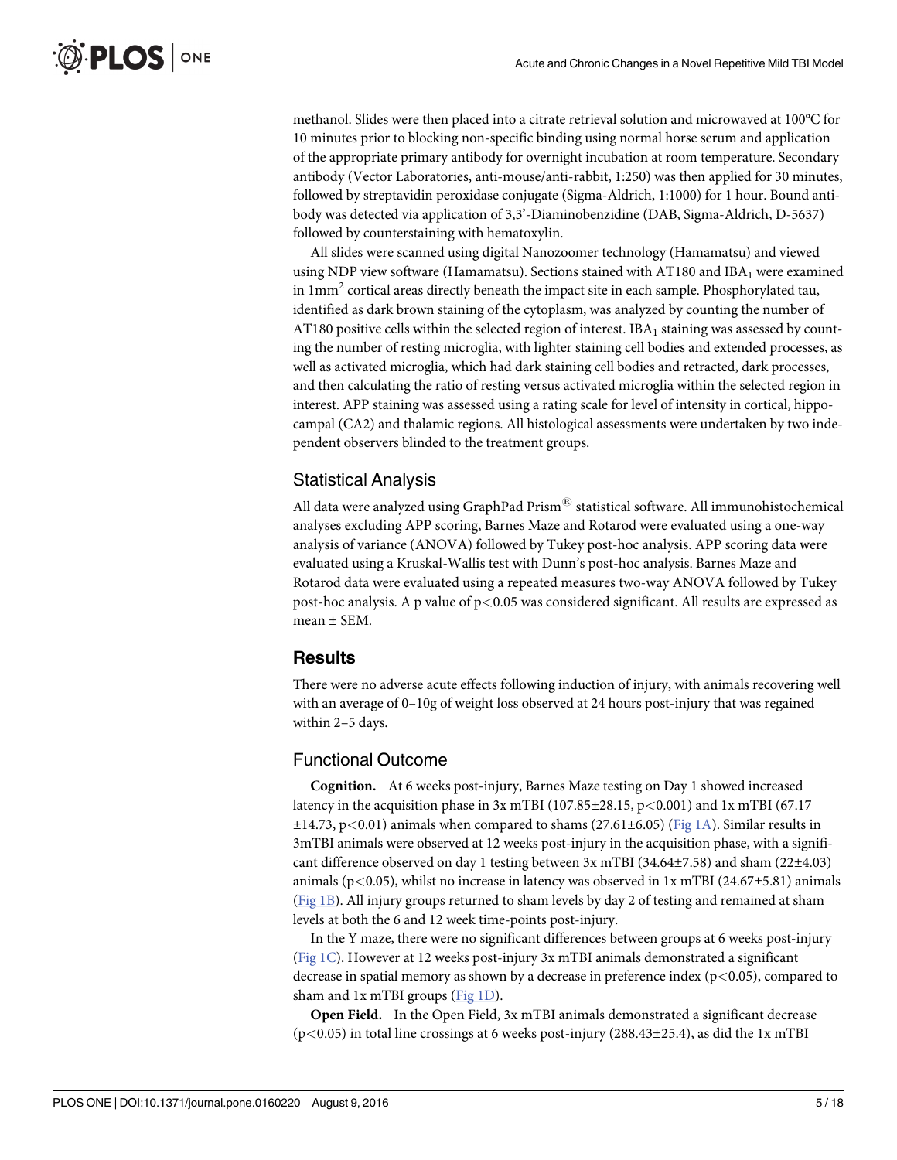<span id="page-4-0"></span>methanol. Slides were then placed into a citrate retrieval solution and microwaved at 100°C for 10 minutes prior to blocking non-specific binding using normal horse serum and application of the appropriate primary antibody for overnight incubation at room temperature. Secondary antibody (Vector Laboratories, anti-mouse/anti-rabbit, 1:250) was then applied for 30 minutes, followed by streptavidin peroxidase conjugate (Sigma-Aldrich, 1:1000) for 1 hour. Bound antibody was detected via application of 3,3'-Diaminobenzidine (DAB, Sigma-Aldrich, D-5637) followed by counterstaining with hematoxylin.

All slides were scanned using digital Nanozoomer technology (Hamamatsu) and viewed using NDP view software (Hamamatsu). Sections stained with AT180 and IBA<sub>1</sub> were examined in  $1mm<sup>2</sup>$  cortical areas directly beneath the impact site in each sample. Phosphorylated tau, identified as dark brown staining of the cytoplasm, was analyzed by counting the number of AT180 positive cells within the selected region of interest. IBA<sub>1</sub> staining was assessed by counting the number of resting microglia, with lighter staining cell bodies and extended processes, as well as activated microglia, which had dark staining cell bodies and retracted, dark processes, and then calculating the ratio of resting versus activated microglia within the selected region in interest. APP staining was assessed using a rating scale for level of intensity in cortical, hippocampal (CA2) and thalamic regions. All histological assessments were undertaken by two independent observers blinded to the treatment groups.

## Statistical Analysis

All data were analyzed using GraphPad Prism $^{\circledR}$  statistical software. All immunohistochemical analyses excluding APP scoring, Barnes Maze and Rotarod were evaluated using a one-way analysis of variance (ANOVA) followed by Tukey post-hoc analysis. APP scoring data were evaluated using a Kruskal-Wallis test with Dunn's post-hoc analysis. Barnes Maze and Rotarod data were evaluated using a repeated measures two-way ANOVA followed by Tukey post-hoc analysis. A p value of p<0.05 was considered significant. All results are expressed as mean  $\pm$  SEM.

## **Results**

There were no adverse acute effects following induction of injury, with animals recovering well with an average of 0–10g of weight loss observed at 24 hours post-injury that was regained within 2–5 days.

## Functional Outcome

Cognition. At 6 weeks post-injury, Barnes Maze testing on Day 1 showed increased latency in the acquisition phase in  $3x$  mTBI (107.85±28.15, p<0.001) and  $1x$  mTBI (67.17  $\pm$ 14.73, p<0.01) animals when compared to shams (27.61 $\pm$ 6.05) ([Fig 1A\)](#page-5-0). Similar results in 3mTBI animals were observed at 12 weeks post-injury in the acquisition phase, with a significant difference observed on day 1 testing between 3x mTBI (34.64±7.58) and sham (22±4.03) animals ( $p$ <0.05), whilst no increase in latency was observed in 1x mTBI (24.67 $\pm$ 5.81) animals [\(Fig 1B\)](#page-5-0). All injury groups returned to sham levels by day 2 of testing and remained at sham levels at both the 6 and 12 week time-points post-injury.

In the Y maze, there were no significant differences between groups at 6 weeks post-injury [\(Fig 1C](#page-5-0)). However at 12 weeks post-injury 3x mTBI animals demonstrated a significant decrease in spatial memory as shown by a decrease in preference index  $(p<0.05)$ , compared to sham and 1x mTBI groups [\(Fig 1D\)](#page-5-0).

Open Field. In the Open Field, 3x mTBI animals demonstrated a significant decrease  $(p<0.05)$  in total line crossings at 6 weeks post-injury (288.43±25.4), as did the 1x mTBI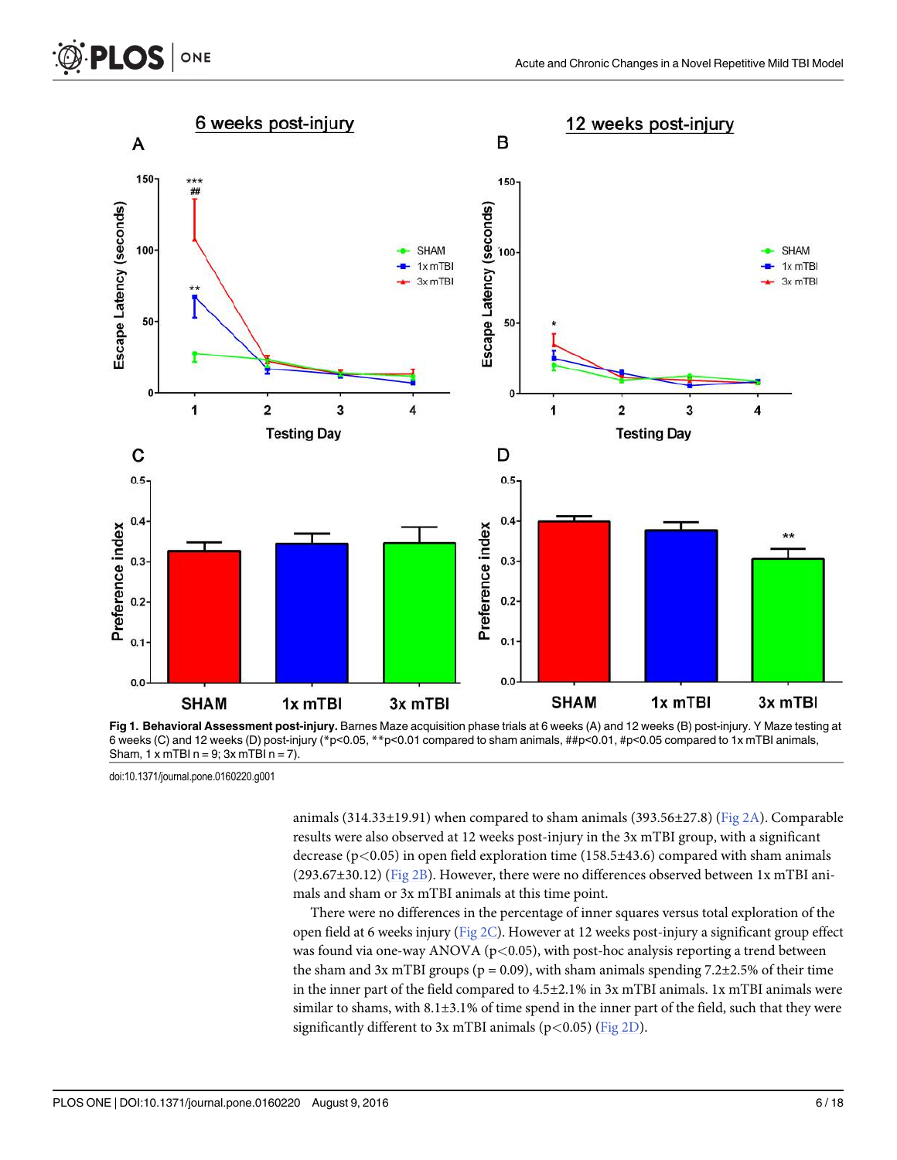

[Fig 1.](#page-4-0) Behavioral Assessment post-injury. Barnes Maze acquisition phase trials at 6 weeks (A) and 12 weeks (B) post-injury. Y Maze testing at 6 weeks (C) and 12 weeks (D) post-injury (\*p<0.05, \*\*p<0.01 compared to sham animals, ##p<0.01, #p<0.05 compared to 1x mTBI animals, Sham,  $1 \times m$ TBI n = 9;  $3 \times m$ TBI n = 7).

<span id="page-5-0"></span>**PLOS** 

ONE

animals (314.33±19.91) when compared to sham animals (393.56±27.8) ( $Fig 2A$ ). Comparable results were also observed at 12 weeks post-injury in the 3x mTBI group, with a significant decrease ( $p$ <0.05) in open field exploration time (158.5 $\pm$ 43.6) compared with sham animals  $(293.67\pm30.12)$  ([Fig 2B](#page-6-0)). However, there were no differences observed between 1x mTBI animals and sham or 3x mTBI animals at this time point.

There were no differences in the percentage of inner squares versus total exploration of the open field at 6 weeks injury [\(Fig 2C](#page-6-0)). However at 12 weeks post-injury a significant group effect was found via one-way ANOVA ( $p<0.05$ ), with post-hoc analysis reporting a trend between the sham and 3x mTBI groups ( $p = 0.09$ ), with sham animals spending 7.2 $\pm$ 2.5% of their time in the inner part of the field compared to 4.5±2.1% in 3x mTBI animals. 1x mTBI animals were similar to shams, with 8.1±3.1% of time spend in the inner part of the field, such that they were significantly different to  $3x$  mTBI animals (p<0.05) ([Fig 2D\)](#page-6-0).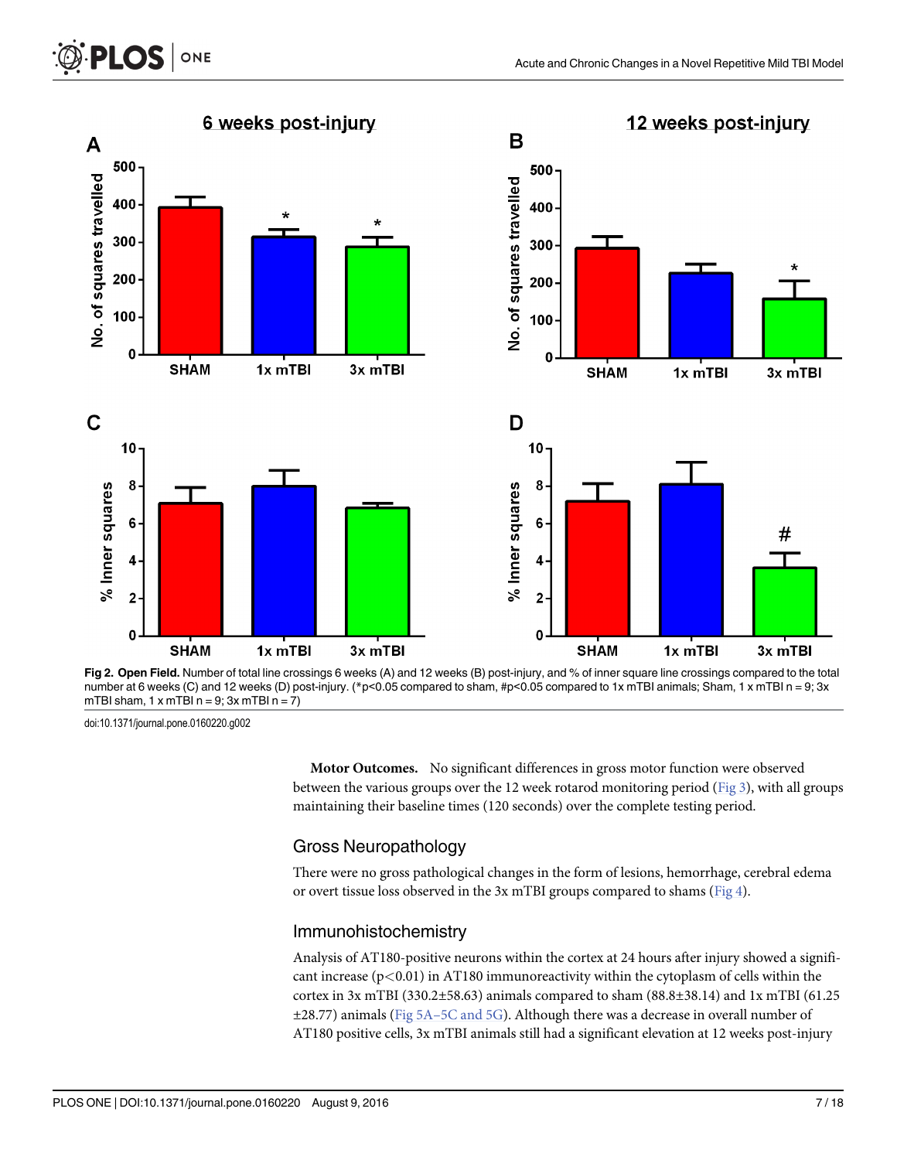

[Fig 2.](#page-5-0) Open Field. Number of total line crossings 6 weeks (A) and 12 weeks (B) post-injury, and % of inner square line crossings compared to the total number at 6 weeks (C) and 12 weeks (D) post-injury. (\*p<0.05 compared to sham, #p<0.05 compared to 1x mTBI animals; Sham, 1 x mTBI n = 9; 3x mTBI sham,  $1 \times m$ TBI  $n = 9$ ;  $3 \times m$ TBI  $n = 7$ )

ONE

<span id="page-6-0"></span>**PLOS** I

Motor Outcomes. No significant differences in gross motor function were observed between the various groups over the 12 week rotarod monitoring period ( $Fig 3$ ), with all groups maintaining their baseline times (120 seconds) over the complete testing period.

## Gross Neuropathology

There were no gross pathological changes in the form of lesions, hemorrhage, cerebral edema or overt tissue loss observed in the 3x mTBI groups compared to shams ( $Fig 4$ ).

## Immunohistochemistry

Analysis of AT180-positive neurons within the cortex at 24 hours after injury showed a significant increase  $(p<0.01)$  in AT180 immunoreactivity within the cytoplasm of cells within the cortex in 3x mTBI (330.2 $\pm$ 58.63) animals compared to sham (88.8 $\pm$ 38.14) and 1x mTBI (61.25  $\pm$ 28.77) animals (Fig 5A–[5C and 5G\)](#page-8-0). Although there was a decrease in overall number of AT180 positive cells, 3x mTBI animals still had a significant elevation at 12 weeks post-injury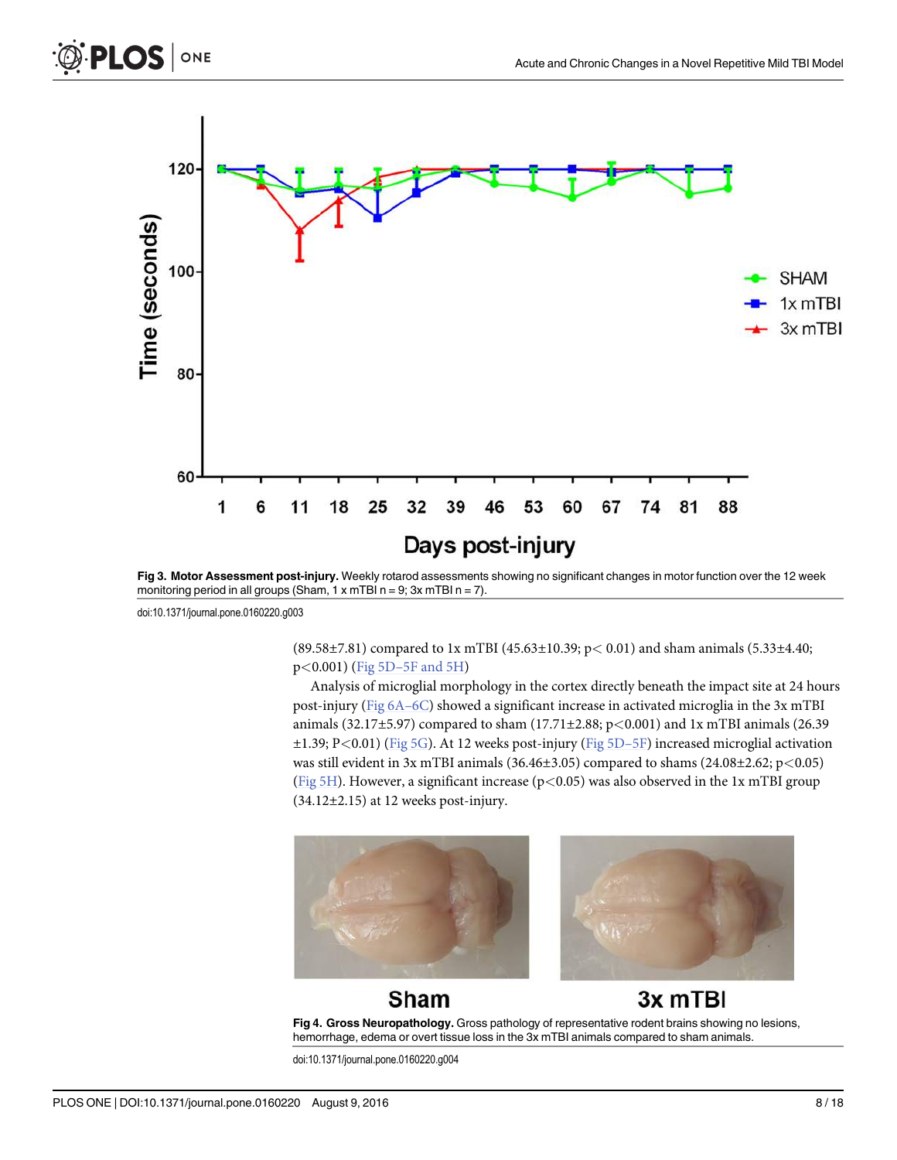

[Fig 3. M](#page-6-0)otor Assessment post-injury. Weekly rotarod assessments showing no significant changes in motor function over the 12 week monitoring period in all groups (Sham,  $1 \times mTBI$  n = 9; 3x mTBI n = 7).

ONE

<span id="page-7-0"></span>**PLOS** 

(89.58±7.81) compared to 1x mTBI (45.63±10.39; p< 0.01) and sham animals (5.33±4.40; p<0.001) (Fig 5D–[5F and 5H](#page-8-0))

Analysis of microglial morphology in the cortex directly beneath the impact site at 24 hours post-injury [\(Fig 6A](#page-9-0)–6C) showed a significant increase in activated microglia in the 3x mTBI animals (32.17±5.97) compared to sham (17.71±2.88;  $p<0.001$ ) and 1x mTBI animals (26.39  $\pm 1.39$ ; P<0.01) ([Fig 5G](#page-8-0)). At 12 weeks post-injury ([Fig 5D](#page-8-0)–5F) increased microglial activation was still evident in 3x mTBI animals (36.46 $\pm$ 3.05) compared to shams (24.08 $\pm$ 2.62; p<0.05) [\(Fig 5H](#page-8-0)). However, a significant increase ( $p$ <0.05) was also observed in the 1x mTBI group  $(34.12\pm2.15)$  at 12 weeks post-injury.





#### **Sham** 3x mTBI [Fig 4. G](#page-6-0)ross Neuropathology. Gross pathology of representative rodent brains showing no lesions, hemorrhage, edema or overt tissue loss in the 3x mTBI animals compared to sham animals.

doi:10.1371/journal.pone.0160220.g004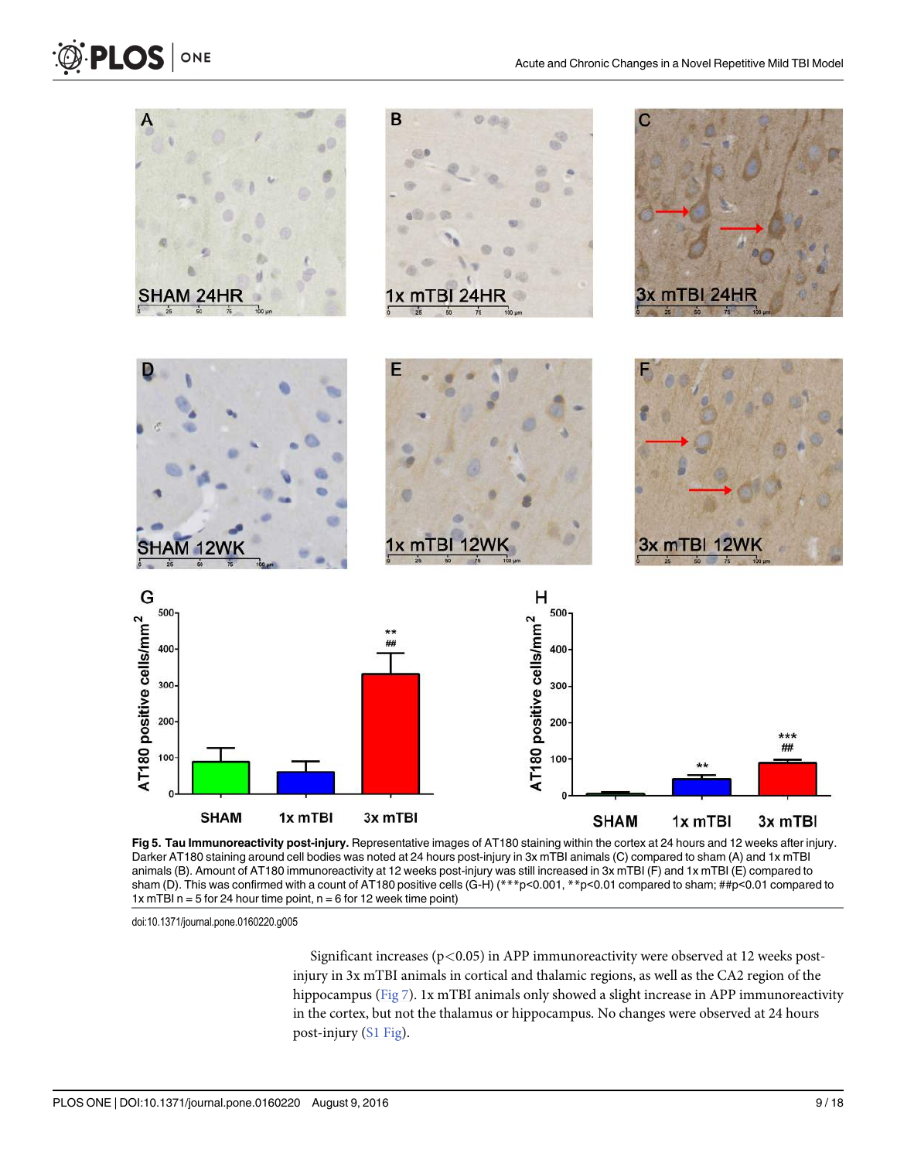<span id="page-8-0"></span>

[Fig 5. T](#page-6-0)au Immunoreactivity post-injury. Representative images of AT180 staining within the cortex at 24 hours and 12 weeks after injury. Darker AT180 staining around cell bodies was noted at 24 hours post-injury in 3x mTBI animals (C) compared to sham (A) and 1x mTBI animals (B). Amount of AT180 immunoreactivity at 12 weeks post-injury was still increased in 3x mTBI (F) and 1x mTBI (E) compared to sham (D). This was confirmed with a count of AT180 positive cells (G-H) (\*\*\*p<0.01, \*\*p<0.01 compared to sham; ##p<0.01 compared to 1x mTBI n = 5 for 24 hour time point,  $n = 6$  for 12 week time point)

Significant increases ( $p$ <0.05) in APP immunoreactivity were observed at 12 weeks postinjury in 3x mTBI animals in cortical and thalamic regions, as well as the CA2 region of the hippocampus ([Fig 7](#page-10-0)). 1x mTBI animals only showed a slight increase in APP immunoreactivity in the cortex, but not the thalamus or hippocampus. No changes were observed at 24 hours post-injury [\(S1 Fig](#page-13-0)).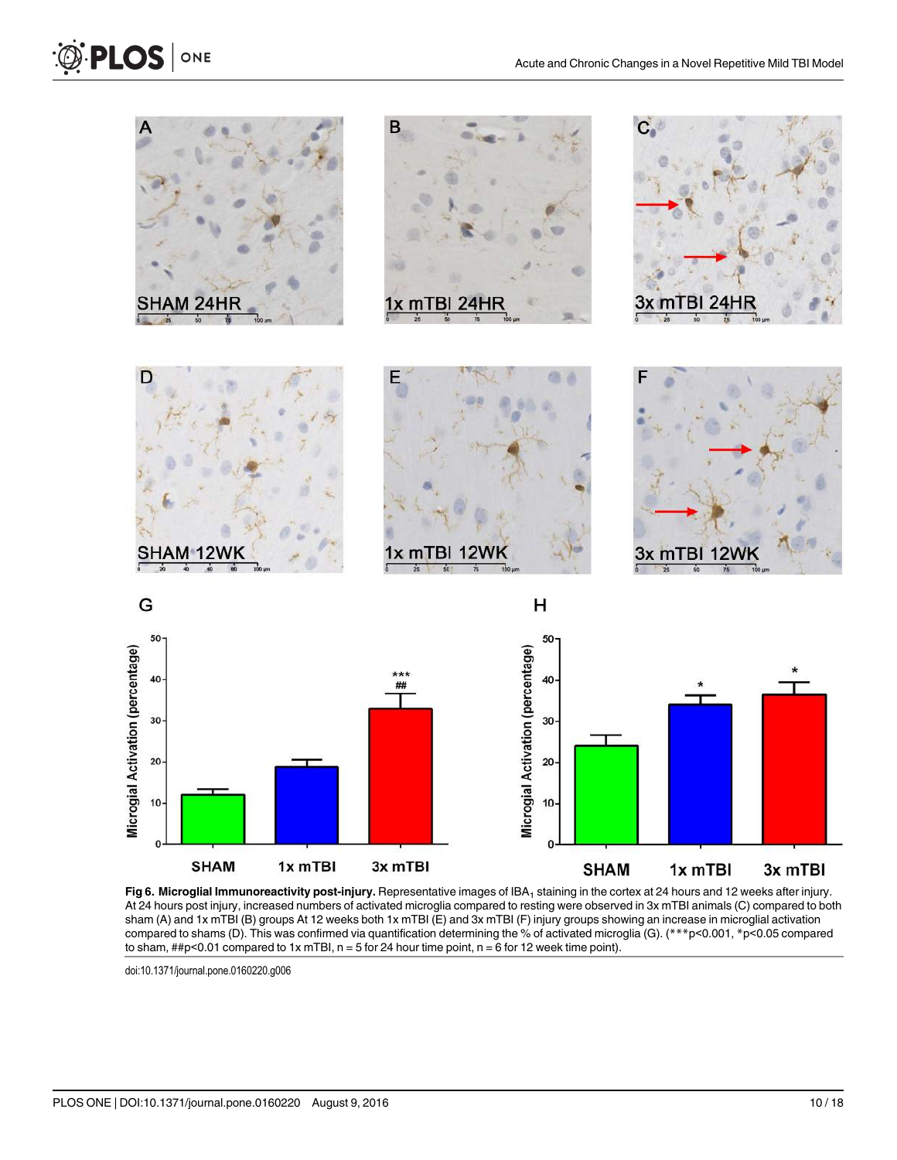

[Fig 6.](#page-7-0) Microglial Immunoreactivity post-injury. Representative images of IBA<sub>1</sub> staining in the cortex at 24 hours and 12 weeks after injury. At 24 hours post injury, increased numbers of activated microglia compared to resting were observed in 3x mTBI animals (C) compared to both sham (A) and 1x mTBI (B) groups At 12 weeks both 1x mTBI (E) and 3x mTBI (F) injury groups showing an increase in microglial activation compared to shams (D). This was confirmed via quantification determining the % of activated microglia (G). (\*\*\*p<0.001, \*p<0.05 compared to sham,  $\#p$ <0.01 compared to 1x mTBI, n = 5 for 24 hour time point, n = 6 for 12 week time point).

doi:10.1371/journal.pone.0160220.g006

<span id="page-9-0"></span>O PLOS ONE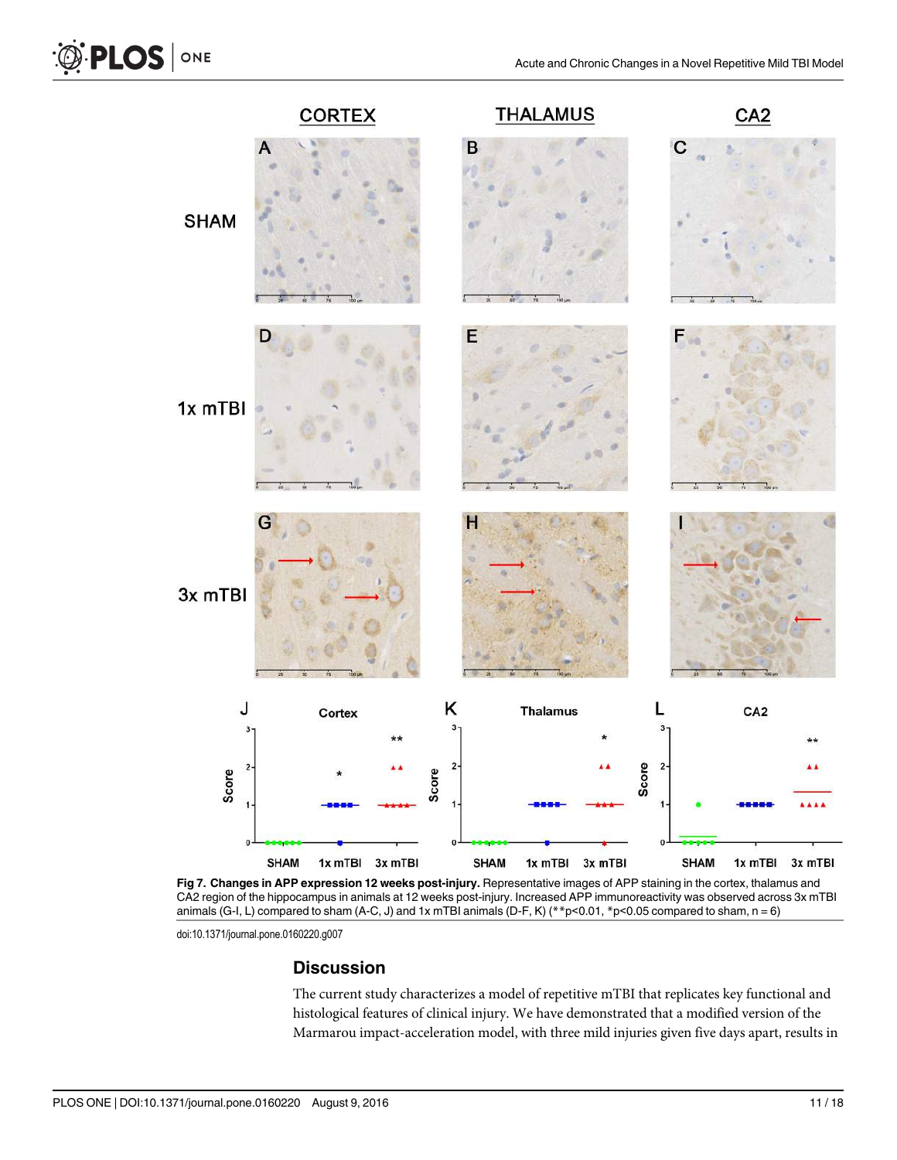

[Fig 7.](#page-8-0) Changes in APP expression 12 weeks post-injury. Representative images of APP staining in the cortex, thalamus and CA2 region of the hippocampus in animals at 12 weeks post-injury. Increased APP immunoreactivity was observed across 3x mTBI animals (G-I, L) compared to sham (A-C, J) and 1x mTBI animals (D-F, K) (\*\*p<0.01, \*p<0.05 compared to sham, n = 6)

doi:10.1371/journal.pone.0160220.g007

## **Discussion**

The current study characterizes a model of repetitive mTBI that replicates key functional and histological features of clinical injury. We have demonstrated that a modified version of the Marmarou impact-acceleration model, with three mild injuries given five days apart, results in

<span id="page-10-0"></span>**O PLOS** ONE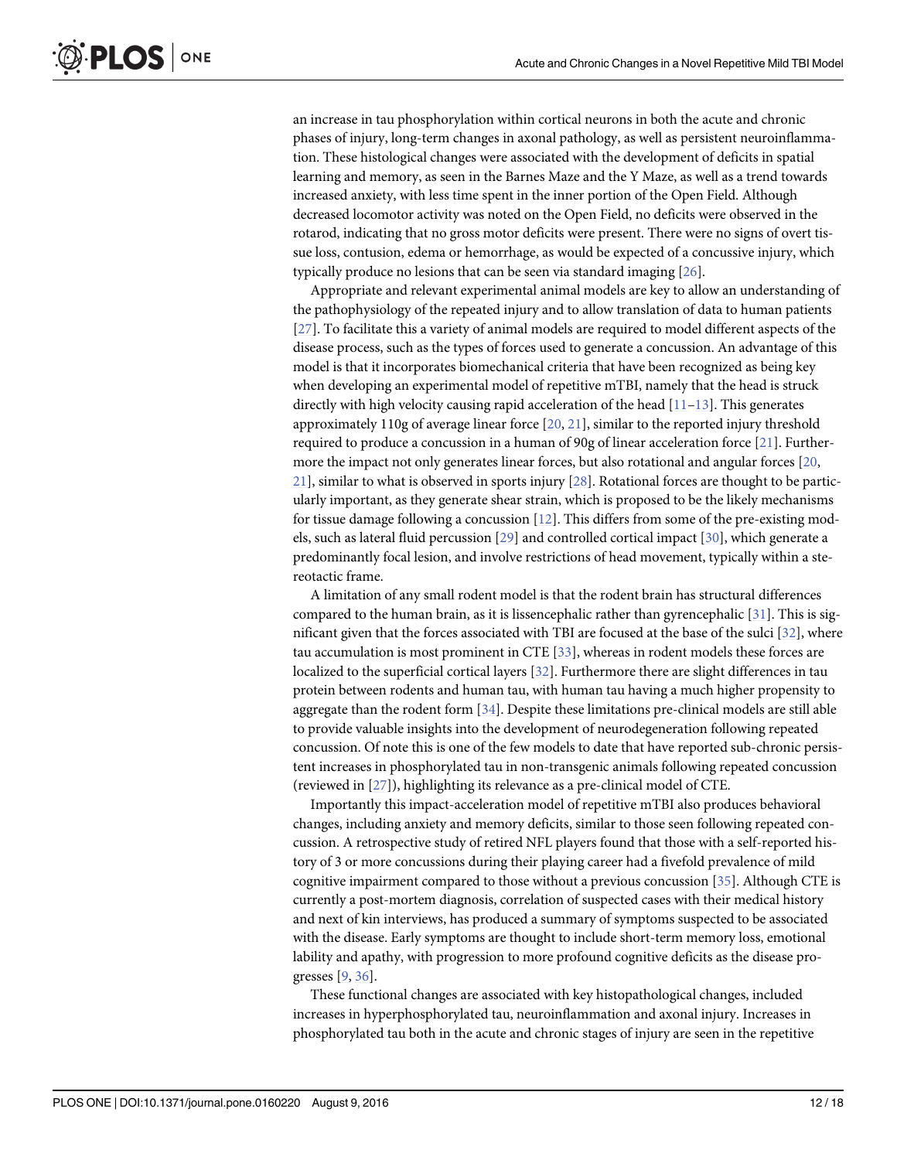<span id="page-11-0"></span>an increase in tau phosphorylation within cortical neurons in both the acute and chronic phases of injury, long-term changes in axonal pathology, as well as persistent neuroinflammation. These histological changes were associated with the development of deficits in spatial learning and memory, as seen in the Barnes Maze and the Y Maze, as well as a trend towards increased anxiety, with less time spent in the inner portion of the Open Field. Although decreased locomotor activity was noted on the Open Field, no deficits were observed in the rotarod, indicating that no gross motor deficits were present. There were no signs of overt tissue loss, contusion, edema or hemorrhage, as would be expected of a concussive injury, which typically produce no lesions that can be seen via standard imaging [\[26\]](#page-15-0).

Appropriate and relevant experimental animal models are key to allow an understanding of the pathophysiology of the repeated injury and to allow translation of data to human patients [\[27](#page-15-0)]. To facilitate this a variety of animal models are required to model different aspects of the disease process, such as the types of forces used to generate a concussion. An advantage of this model is that it incorporates biomechanical criteria that have been recognized as being key when developing an experimental model of repetitive mTBI, namely that the head is struck directly with high velocity causing rapid acceleration of the head  $[11-13]$  $[11-13]$  $[11-13]$  $[11-13]$  $[11-13]$ . This generates approximately 110g of average linear force  $[20, 21]$  $[20, 21]$  $[20, 21]$  $[20, 21]$  $[20, 21]$ , similar to the reported injury threshold required to produce a concussion in a human of 90g of linear acceleration force [[21](#page-14-0)]. Furthermore the impact not only generates linear forces, but also rotational and angular forces [\[20,](#page-14-0) [21\]](#page-14-0), similar to what is observed in sports injury [\[28\]](#page-15-0). Rotational forces are thought to be particularly important, as they generate shear strain, which is proposed to be the likely mechanisms for tissue damage following a concussion [\[12](#page-14-0)]. This differs from some of the pre-existing models, such as lateral fluid percussion [\[29\]](#page-15-0) and controlled cortical impact [[30](#page-15-0)], which generate a predominantly focal lesion, and involve restrictions of head movement, typically within a stereotactic frame.

A limitation of any small rodent model is that the rodent brain has structural differences compared to the human brain, as it is lissencephalic rather than gyrencephalic [[31](#page-15-0)]. This is significant given that the forces associated with TBI are focused at the base of the sulci [[32\]](#page-15-0), where tau accumulation is most prominent in CTE [[33](#page-15-0)], whereas in rodent models these forces are localized to the superficial cortical layers [\[32](#page-15-0)]. Furthermore there are slight differences in tau protein between rodents and human tau, with human tau having a much higher propensity to aggregate than the rodent form  $[34]$  $[34]$  $[34]$ . Despite these limitations pre-clinical models are still able to provide valuable insights into the development of neurodegeneration following repeated concussion. Of note this is one of the few models to date that have reported sub-chronic persistent increases in phosphorylated tau in non-transgenic animals following repeated concussion (reviewed in [[27](#page-15-0)]), highlighting its relevance as a pre-clinical model of CTE.

Importantly this impact-acceleration model of repetitive mTBI also produces behavioral changes, including anxiety and memory deficits, similar to those seen following repeated concussion. A retrospective study of retired NFL players found that those with a self-reported history of 3 or more concussions during their playing career had a fivefold prevalence of mild cognitive impairment compared to those without a previous concussion [[35](#page-15-0)]. Although CTE is currently a post-mortem diagnosis, correlation of suspected cases with their medical history and next of kin interviews, has produced a summary of symptoms suspected to be associated with the disease. Early symptoms are thought to include short-term memory loss, emotional lability and apathy, with progression to more profound cognitive deficits as the disease progresses [\[9,](#page-14-0) [36\]](#page-15-0).

These functional changes are associated with key histopathological changes, included increases in hyperphosphorylated tau, neuroinflammation and axonal injury. Increases in phosphorylated tau both in the acute and chronic stages of injury are seen in the repetitive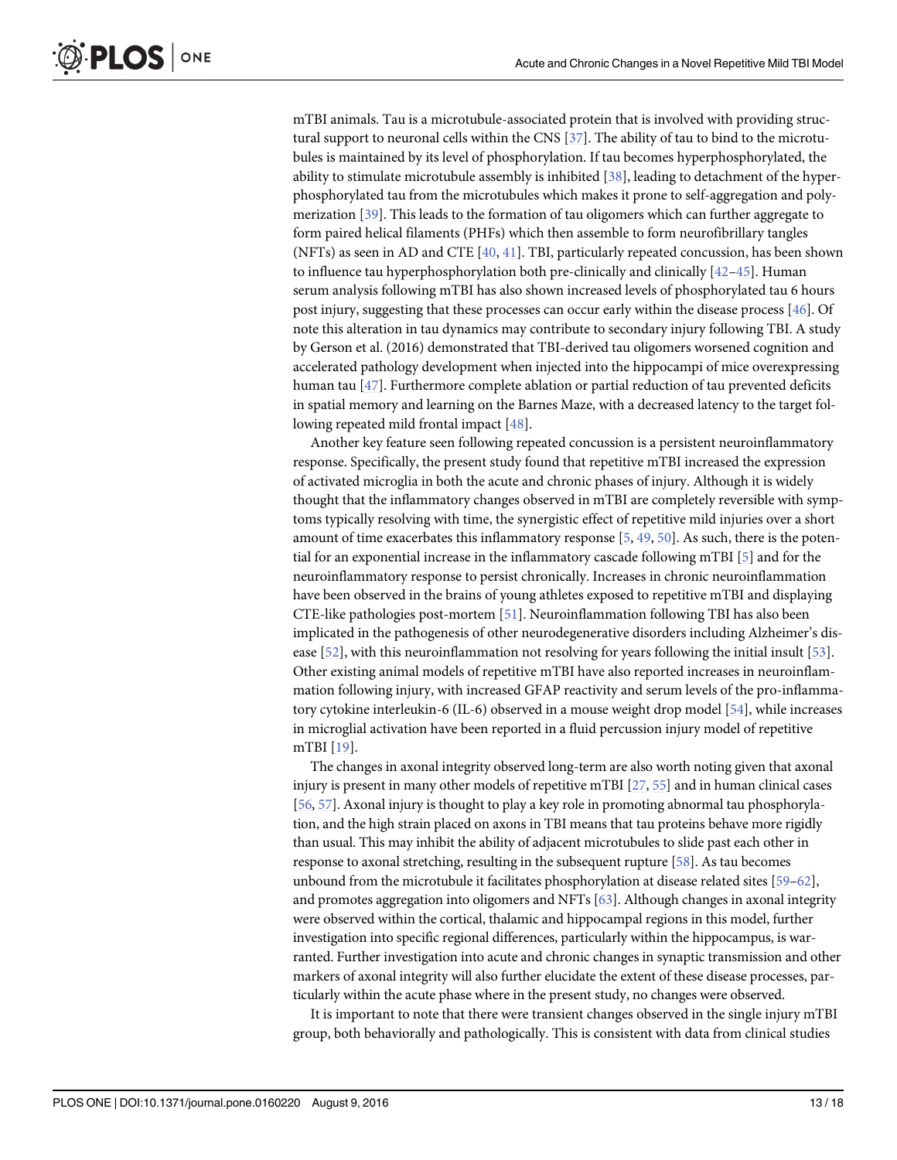<span id="page-12-0"></span>mTBI animals. Tau is a microtubule-associated protein that is involved with providing structural support to neuronal cells within the CNS  $[37]$  $[37]$  $[37]$ . The ability of tau to bind to the microtubules is maintained by its level of phosphorylation. If tau becomes hyperphosphorylated, the ability to stimulate microtubule assembly is inhibited [\[38\]](#page-15-0), leading to detachment of the hyperphosphorylated tau from the microtubules which makes it prone to self-aggregation and polymerization [[39](#page-15-0)]. This leads to the formation of tau oligomers which can further aggregate to form paired helical filaments (PHFs) which then assemble to form neurofibrillary tangles (NFTs) as seen in AD and CTE [\[40,](#page-15-0) [41\]](#page-15-0). TBI, particularly repeated concussion, has been shown to influence tau hyperphosphorylation both pre-clinically and clinically  $[42-45]$  $[42-45]$  $[42-45]$  $[42-45]$  $[42-45]$ . Human serum analysis following mTBI has also shown increased levels of phosphorylated tau 6 hours post injury, suggesting that these processes can occur early within the disease process [\[46\]](#page-16-0). Of note this alteration in tau dynamics may contribute to secondary injury following TBI. A study by Gerson et al. (2016) demonstrated that TBI-derived tau oligomers worsened cognition and accelerated pathology development when injected into the hippocampi of mice overexpressing human tau [[47\]](#page-16-0). Furthermore complete ablation or partial reduction of tau prevented deficits in spatial memory and learning on the Barnes Maze, with a decreased latency to the target following repeated mild frontal impact [\[48\]](#page-16-0).

Another key feature seen following repeated concussion is a persistent neuroinflammatory response. Specifically, the present study found that repetitive mTBI increased the expression of activated microglia in both the acute and chronic phases of injury. Although it is widely thought that the inflammatory changes observed in mTBI are completely reversible with symptoms typically resolving with time, the synergistic effect of repetitive mild injuries over a short amount of time exacerbates this inflammatory response [[5](#page-14-0), [49](#page-16-0), [50](#page-16-0)]. As such, there is the potential for an exponential increase in the inflammatory cascade following mTBI [[5](#page-14-0)] and for the neuroinflammatory response to persist chronically. Increases in chronic neuroinflammation have been observed in the brains of young athletes exposed to repetitive mTBI and displaying CTE-like pathologies post-mortem [\[51\]](#page-16-0). Neuroinflammation following TBI has also been implicated in the pathogenesis of other neurodegenerative disorders including Alzheimer's disease [[52\]](#page-16-0), with this neuroinflammation not resolving for years following the initial insult [\[53](#page-16-0)]. Other existing animal models of repetitive mTBI have also reported increases in neuroinflammation following injury, with increased GFAP reactivity and serum levels of the pro-inflammatory cytokine interleukin-6 (IL-6) observed in a mouse weight drop model [\[54\]](#page-16-0), while increases in microglial activation have been reported in a fluid percussion injury model of repetitive mTBI [\[19\]](#page-14-0).

The changes in axonal integrity observed long-term are also worth noting given that axonal injury is present in many other models of repetitive mTBI [[27](#page-15-0), [55\]](#page-16-0) and in human clinical cases [\[56,](#page-16-0) [57\]](#page-16-0). Axonal injury is thought to play a key role in promoting abnormal tau phosphorylation, and the high strain placed on axons in TBI means that tau proteins behave more rigidly than usual. This may inhibit the ability of adjacent microtubules to slide past each other in response to axonal stretching, resulting in the subsequent rupture [[58](#page-16-0)]. As tau becomes unbound from the microtubule it facilitates phosphorylation at disease related sites [[59](#page-16-0)–[62\]](#page-16-0), and promotes aggregation into oligomers and NFTs [[63](#page-16-0)]. Although changes in axonal integrity were observed within the cortical, thalamic and hippocampal regions in this model, further investigation into specific regional differences, particularly within the hippocampus, is warranted. Further investigation into acute and chronic changes in synaptic transmission and other markers of axonal integrity will also further elucidate the extent of these disease processes, particularly within the acute phase where in the present study, no changes were observed.

It is important to note that there were transient changes observed in the single injury mTBI group, both behaviorally and pathologically. This is consistent with data from clinical studies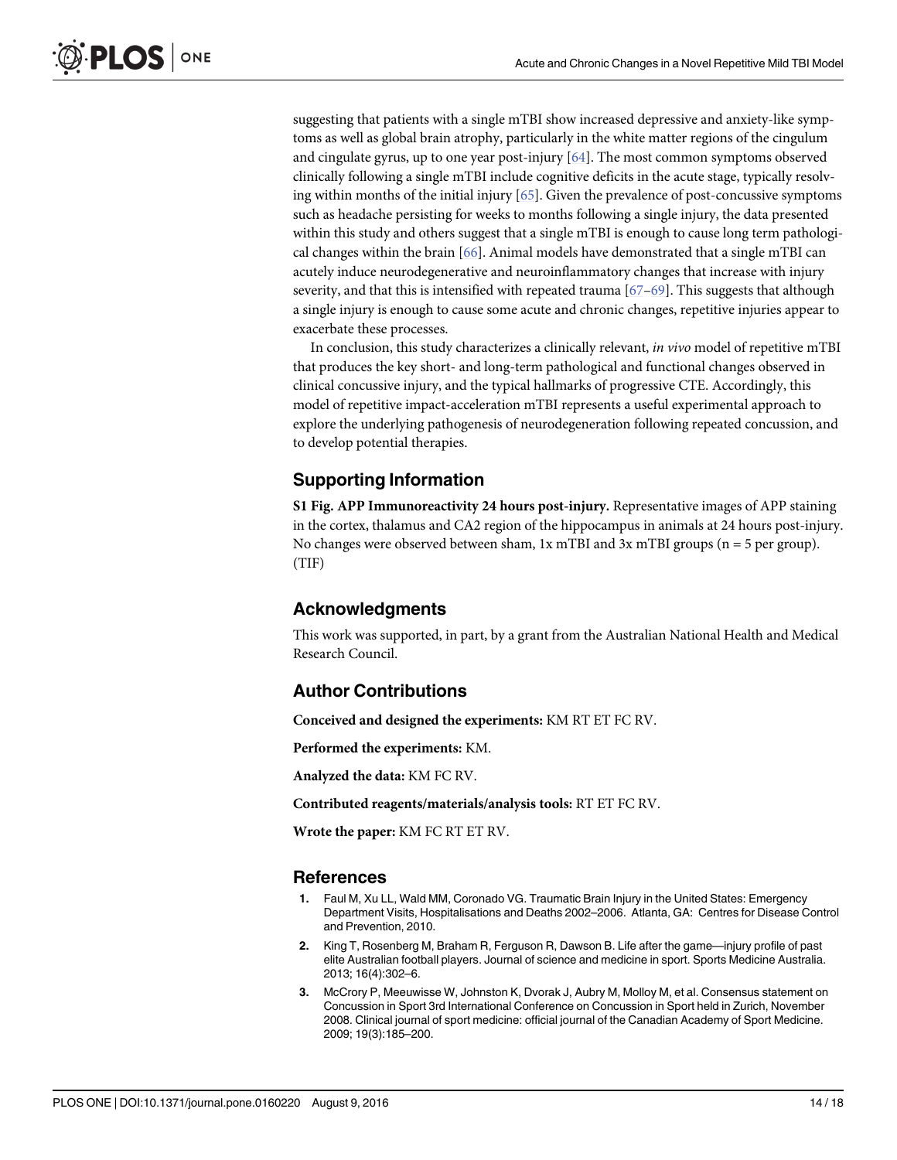suggesting that patients with a single mTBI show increased depressive and anxiety-like symptoms as well as global brain atrophy, particularly in the white matter regions of the cingulum and cingulate gyrus, up to one year post-injury [\[64\]](#page-16-0). The most common symptoms observed clinically following a single mTBI include cognitive deficits in the acute stage, typically resolving within months of the initial injury [\[65\]](#page-16-0). Given the prevalence of post-concussive symptoms such as headache persisting for weeks to months following a single injury, the data presented within this study and others suggest that a single mTBI is enough to cause long term pathological changes within the brain [[66](#page-16-0)]. Animal models have demonstrated that a single mTBI can acutely induce neurodegenerative and neuroinflammatory changes that increase with injury severity, and that this is intensified with repeated trauma  $[67-69]$  $[67-69]$  $[67-69]$  $[67-69]$  $[67-69]$ . This suggests that although a single injury is enough to cause some acute and chronic changes, repetitive injuries appear to exacerbate these processes.

In conclusion, this study characterizes a clinically relevant, in vivo model of repetitive mTBI that produces the key short- and long-term pathological and functional changes observed in clinical concussive injury, and the typical hallmarks of progressive CTE. Accordingly, this model of repetitive impact-acceleration mTBI represents a useful experimental approach to explore the underlying pathogenesis of neurodegeneration following repeated concussion, and to develop potential therapies.

## Supporting Information

[S1 Fig.](http://www.plosone.org/article/fetchSingleRepresentation.action?uri=info:doi/10.1371/journal.pone.0160220.s001) APP Immunoreactivity 24 hours post-injury. Representative images of APP staining in the cortex, thalamus and CA2 region of the hippocampus in animals at 24 hours post-injury. No changes were observed between sham, 1x mTBI and 3x mTBI groups (n = 5 per group). (TIF)

## Acknowledgments

This work was supported, in part, by a grant from the Australian National Health and Medical Research Council.

## Author Contributions

Conceived and designed the experiments: KM RT ET FC RV.

Performed the experiments: KM.

Analyzed the data: KM FC RV.

Contributed reagents/materials/analysis tools: RT ET FC RV.

Wrote the paper: KM FC RT ET RV.

## References

- [1.](#page-1-0) Faul M, Xu LL, Wald MM, Coronado VG. Traumatic Brain Injury in the United States: Emergency Department Visits, Hospitalisations and Deaths 2002–2006. Atlanta, GA: Centres for Disease Control and Prevention, 2010.
- [2.](#page-1-0) King T, Rosenberg M, Braham R, Ferguson R, Dawson B. Life after the game—injury profile of past elite Australian football players. Journal of science and medicine in sport. Sports Medicine Australia. 2013; 16(4):302–6.
- [3.](#page-1-0) McCrory P, Meeuwisse W, Johnston K, Dvorak J, Aubry M, Molloy M, et al. Consensus statement on Concussion in Sport 3rd International Conference on Concussion in Sport held in Zurich, November 2008. Clinical journal of sport medicine: official journal of the Canadian Academy of Sport Medicine. 2009; 19(3):185–200.

<span id="page-13-0"></span>**PLOS** I

ONE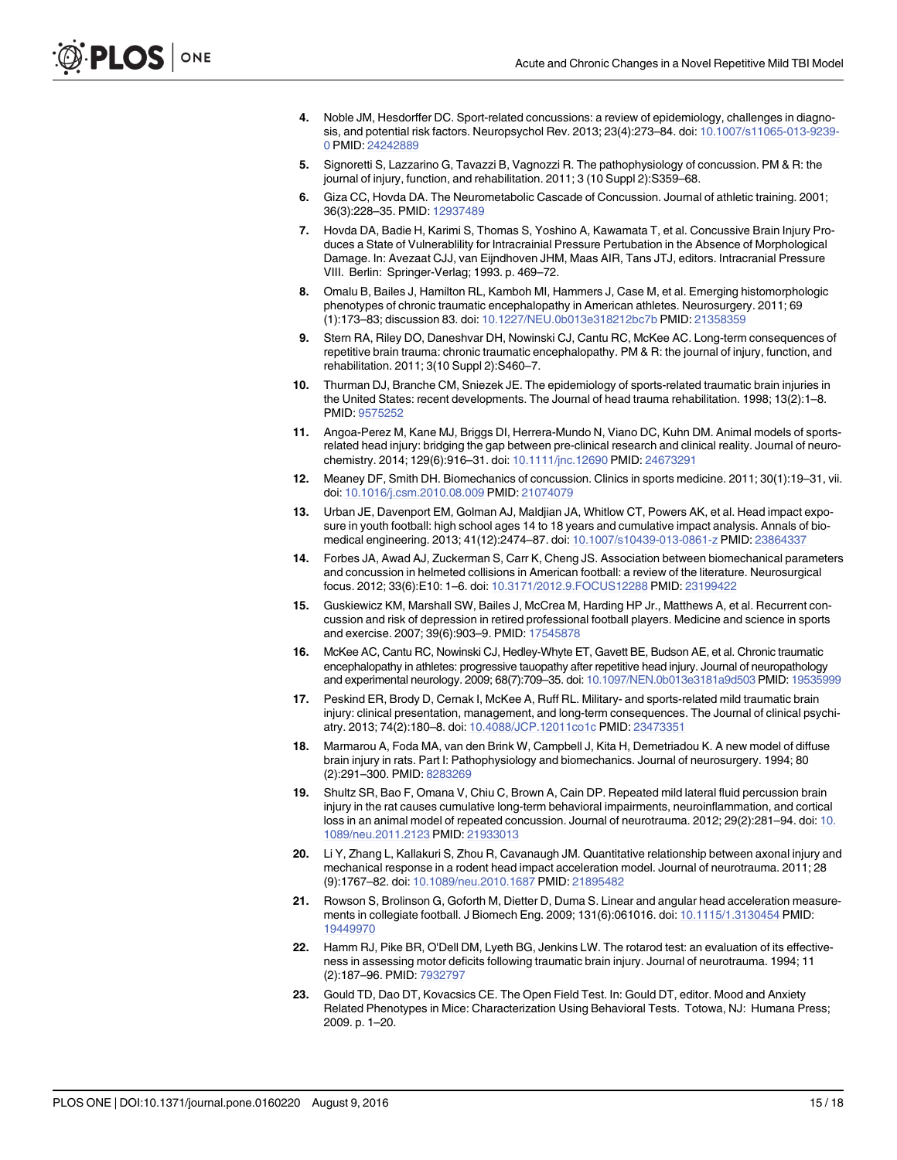- <span id="page-14-0"></span>[4.](#page-1-0) Noble JM, Hesdorffer DC. Sport-related concussions: a review of epidemiology, challenges in diagnosis, and potential risk factors. Neuropsychol Rev. 2013; 23(4):273–84. doi: [10.1007/s11065-013-9239-](http://dx.doi.org/10.1007/s11065-013-9239-0) [0](http://dx.doi.org/10.1007/s11065-013-9239-0) PMID: [24242889](http://www.ncbi.nlm.nih.gov/pubmed/24242889)
- [5.](#page-1-0) Signoretti S, Lazzarino G, Tavazzi B, Vagnozzi R. The pathophysiology of concussion. PM & R: the journal of injury, function, and rehabilitation. 2011; 3 (10 Suppl 2):S359–68.
- [6.](#page-1-0) Giza CC, Hovda DA. The Neurometabolic Cascade of Concussion. Journal of athletic training. 2001; 36(3):228–35. PMID: [12937489](http://www.ncbi.nlm.nih.gov/pubmed/12937489)
- [7.](#page-1-0) Hovda DA, Badie H, Karimi S, Thomas S, Yoshino A, Kawamata T, et al. Concussive Brain Injury Produces a State of Vulnerablility for Intracrainial Pressure Pertubation in the Absence of Morphological Damage. In: Avezaat CJJ, van Eijndhoven JHM, Maas AIR, Tans JTJ, editors. Intracranial Pressure VIII. Berlin: Springer-Verlag; 1993. p. 469–72.
- [8.](#page-1-0) Omalu B, Bailes J, Hamilton RL, Kamboh MI, Hammers J, Case M, et al. Emerging histomorphologic phenotypes of chronic traumatic encephalopathy in American athletes. Neurosurgery. 2011; 69 (1):173–83; discussion 83. doi: [10.1227/NEU.0b013e318212bc7b](http://dx.doi.org/10.1227/NEU.0b013e318212bc7b) PMID: [21358359](http://www.ncbi.nlm.nih.gov/pubmed/21358359)
- [9.](#page-1-0) Stern RA, Riley DO, Daneshvar DH, Nowinski CJ, Cantu RC, McKee AC. Long-term consequences of repetitive brain trauma: chronic traumatic encephalopathy. PM & R: the journal of injury, function, and rehabilitation. 2011; 3(10 Suppl 2):S460–7.
- [10.](#page-1-0) Thurman DJ, Branche CM, Sniezek JE. The epidemiology of sports-related traumatic brain injuries in the United States: recent developments. The Journal of head trauma rehabilitation. 1998; 13(2):1–8. PMID: [9575252](http://www.ncbi.nlm.nih.gov/pubmed/9575252)
- [11.](#page-1-0) Angoa-Perez M, Kane MJ, Briggs DI, Herrera-Mundo N, Viano DC, Kuhn DM. Animal models of sportsrelated head injury: bridging the gap between pre-clinical research and clinical reality. Journal of neurochemistry. 2014; 129(6):916–31. doi: [10.1111/jnc.12690](http://dx.doi.org/10.1111/jnc.12690) PMID: [24673291](http://www.ncbi.nlm.nih.gov/pubmed/24673291)
- [12.](#page-11-0) Meaney DF, Smith DH. Biomechanics of concussion. Clinics in sports medicine. 2011; 30(1):19–31, vii. doi: [10.1016/j.csm.2010.08.009](http://dx.doi.org/10.1016/j.csm.2010.08.009) PMID: [21074079](http://www.ncbi.nlm.nih.gov/pubmed/21074079)
- [13.](#page-1-0) Urban JE, Davenport EM, Golman AJ, Maldjian JA, Whitlow CT, Powers AK, et al. Head impact exposure in youth football: high school ages 14 to 18 years and cumulative impact analysis. Annals of biomedical engineering. 2013; 41(12):2474–87. doi: [10.1007/s10439-013-0861-z](http://dx.doi.org/10.1007/s10439-013-0861-z) PMID: [23864337](http://www.ncbi.nlm.nih.gov/pubmed/23864337)
- [14.](#page-1-0) Forbes JA, Awad AJ, Zuckerman S, Carr K, Cheng JS. Association between biomechanical parameters and concussion in helmeted collisions in American football: a review of the literature. Neurosurgical focus. 2012; 33(6):E10: 1–6. doi: [10.3171/2012.9.FOCUS12288](http://dx.doi.org/10.3171/2012.9.FOCUS12288) PMID: [23199422](http://www.ncbi.nlm.nih.gov/pubmed/23199422)
- [15.](#page-1-0) Guskiewicz KM, Marshall SW, Bailes J, McCrea M, Harding HP Jr., Matthews A, et al. Recurrent concussion and risk of depression in retired professional football players. Medicine and science in sports and exercise. 2007; 39(6):903–9. PMID: [17545878](http://www.ncbi.nlm.nih.gov/pubmed/17545878)
- 16. McKee AC, Cantu RC, Nowinski CJ, Hedley-Whyte ET, Gavett BE, Budson AE, et al. Chronic traumatic encephalopathy in athletes: progressive tauopathy after repetitive head injury. Journal of neuropathology and experimental neurology. 2009; 68(7):709–35. doi: [10.1097/NEN.0b013e3181a9d503](http://dx.doi.org/10.1097/NEN.0b013e3181a9d503) PMID: [19535999](http://www.ncbi.nlm.nih.gov/pubmed/19535999)
- [17.](#page-1-0) Peskind ER, Brody D, Cernak I, McKee A, Ruff RL. Military- and sports-related mild traumatic brain injury: clinical presentation, management, and long-term consequences. The Journal of clinical psychiatry. 2013; 74(2):180–8. doi: [10.4088/JCP.12011co1c](http://dx.doi.org/10.4088/JCP.12011co1c) PMID: [23473351](http://www.ncbi.nlm.nih.gov/pubmed/23473351)
- [18.](#page-1-0) Marmarou A, Foda MA, van den Brink W, Campbell J, Kita H, Demetriadou K. A new model of diffuse brain injury in rats. Part I: Pathophysiology and biomechanics. Journal of neurosurgery. 1994; 80 (2):291–300. PMID: [8283269](http://www.ncbi.nlm.nih.gov/pubmed/8283269)
- [19.](#page-2-0) Shultz SR, Bao F, Omana V, Chiu C, Brown A, Cain DP. Repeated mild lateral fluid percussion brain injury in the rat causes cumulative long-term behavioral impairments, neuroinflammation, and cortical loss in an animal model of repeated concussion. Journal of neurotrauma. 2012; 29(2):281–94. doi: [10.](http://dx.doi.org/10.1089/neu.2011.2123) [1089/neu.2011.2123](http://dx.doi.org/10.1089/neu.2011.2123) PMID: [21933013](http://www.ncbi.nlm.nih.gov/pubmed/21933013)
- [20.](#page-2-0) Li Y, Zhang L, Kallakuri S, Zhou R, Cavanaugh JM. Quantitative relationship between axonal injury and mechanical response in a rodent head impact acceleration model. Journal of neurotrauma. 2011; 28 (9):1767–82. doi: [10.1089/neu.2010.1687](http://dx.doi.org/10.1089/neu.2010.1687) PMID: [21895482](http://www.ncbi.nlm.nih.gov/pubmed/21895482)
- [21.](#page-2-0) Rowson S, Brolinson G, Goforth M, Dietter D, Duma S. Linear and angular head acceleration measurements in collegiate football. J Biomech Eng. 2009; 131(6):061016. doi: [10.1115/1.3130454](http://dx.doi.org/10.1115/1.3130454) PMID: [19449970](http://www.ncbi.nlm.nih.gov/pubmed/19449970)
- [22.](#page-2-0) Hamm RJ, Pike BR, O'Dell DM, Lyeth BG, Jenkins LW. The rotarod test: an evaluation of its effectiveness in assessing motor deficits following traumatic brain injury. Journal of neurotrauma. 1994; 11 (2):187–96. PMID: [7932797](http://www.ncbi.nlm.nih.gov/pubmed/7932797)
- [23.](#page-2-0) Gould TD, Dao DT, Kovacsics CE. The Open Field Test. In: Gould DT, editor, Mood and Anxiety Related Phenotypes in Mice: Characterization Using Behavioral Tests. Totowa, NJ: Humana Press; 2009. p. 1–20.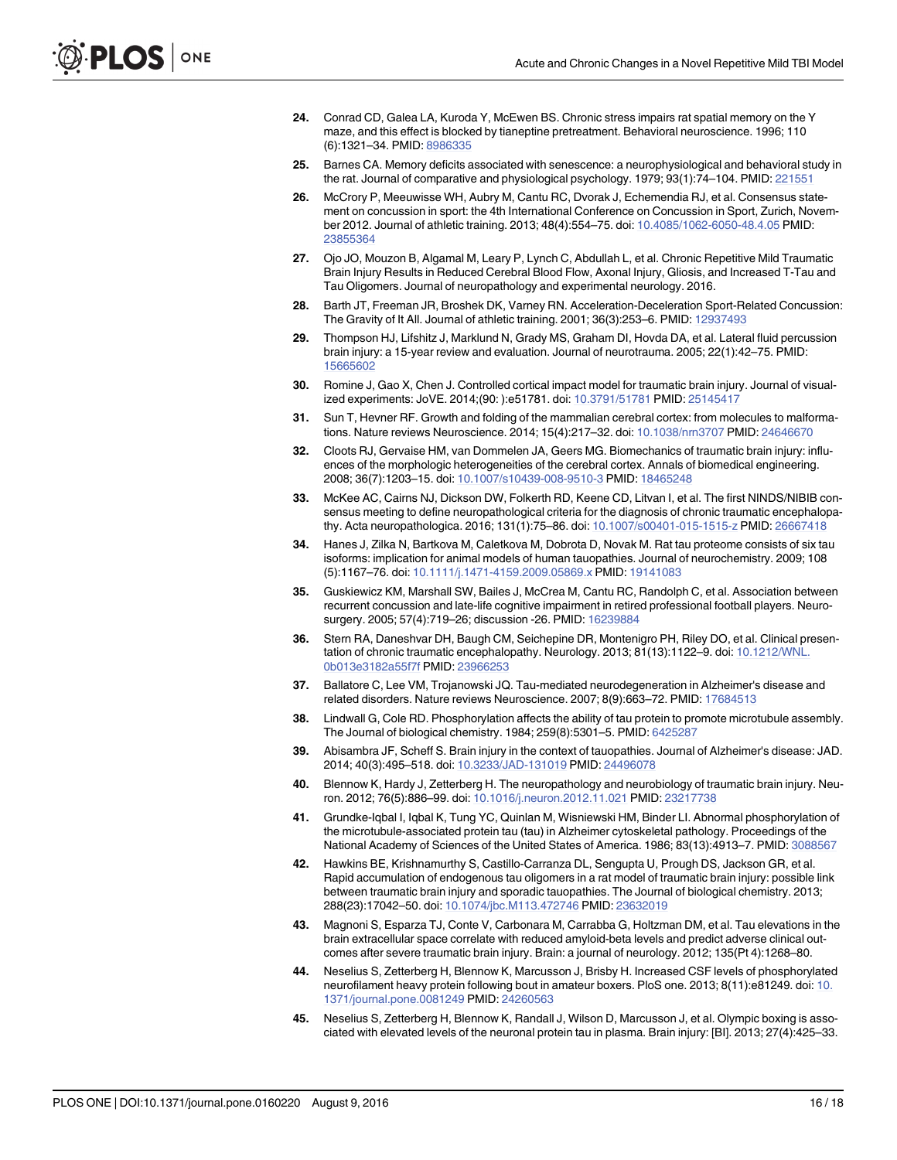- <span id="page-15-0"></span>[24.](#page-3-0) Conrad CD, Galea LA, Kuroda Y, McEwen BS. Chronic stress impairs rat spatial memory on the Y maze, and this effect is blocked by tianeptine pretreatment. Behavioral neuroscience. 1996; 110 (6):1321–34. PMID: [8986335](http://www.ncbi.nlm.nih.gov/pubmed/8986335)
- [25.](#page-2-0) Barnes CA. Memory deficits associated with senescence: a neurophysiological and behavioral study in the rat. Journal of comparative and physiological psychology. 1979; 93(1):74-104. PMID: [221551](http://www.ncbi.nlm.nih.gov/pubmed/221551)
- [26.](#page-11-0) McCrory P, Meeuwisse WH, Aubry M, Cantu RC, Dvorak J, Echemendia RJ, et al. Consensus statement on concussion in sport: the 4th International Conference on Concussion in Sport, Zurich, November 2012. Journal of athletic training. 2013; 48(4):554–75. doi: [10.4085/1062-6050-48.4.05](http://dx.doi.org/10.4085/1062-6050-48.4.05) PMID: [23855364](http://www.ncbi.nlm.nih.gov/pubmed/23855364)
- [27.](#page-11-0) Ojo JO, Mouzon B, Algamal M, Leary P, Lynch C, Abdullah L, et al. Chronic Repetitive Mild Traumatic Brain Injury Results in Reduced Cerebral Blood Flow, Axonal Injury, Gliosis, and Increased T-Tau and Tau Oligomers. Journal of neuropathology and experimental neurology. 2016.
- [28.](#page-11-0) Barth JT, Freeman JR, Broshek DK, Varney RN. Acceleration-Deceleration Sport-Related Concussion: The Gravity of It All. Journal of athletic training. 2001; 36(3):253–6. PMID: [12937493](http://www.ncbi.nlm.nih.gov/pubmed/12937493)
- [29.](#page-11-0) Thompson HJ, Lifshitz J, Marklund N, Grady MS, Graham DI, Hovda DA, et al. Lateral fluid percussion brain injury: a 15-year review and evaluation. Journal of neurotrauma. 2005; 22(1):42–75. PMID: [15665602](http://www.ncbi.nlm.nih.gov/pubmed/15665602)
- [30.](#page-11-0) Romine J, Gao X, Chen J. Controlled cortical impact model for traumatic brain injury. Journal of visualized experiments: JoVE. 2014;(90: ):e51781. doi: [10.3791/51781](http://dx.doi.org/10.3791/51781) PMID: [25145417](http://www.ncbi.nlm.nih.gov/pubmed/25145417)
- [31.](#page-11-0) Sun T, Hevner RF. Growth and folding of the mammalian cerebral cortex: from molecules to malformations. Nature reviews Neuroscience. 2014; 15(4):217–32. doi: [10.1038/nrn3707](http://dx.doi.org/10.1038/nrn3707) PMID: [24646670](http://www.ncbi.nlm.nih.gov/pubmed/24646670)
- [32.](#page-11-0) Cloots RJ, Gervaise HM, van Dommelen JA, Geers MG. Biomechanics of traumatic brain injury: influences of the morphologic heterogeneities of the cerebral cortex. Annals of biomedical engineering. 2008; 36(7):1203–15. doi: [10.1007/s10439-008-9510-3](http://dx.doi.org/10.1007/s10439-008-9510-3) PMID: [18465248](http://www.ncbi.nlm.nih.gov/pubmed/18465248)
- [33.](#page-11-0) McKee AC, Cairns NJ, Dickson DW, Folkerth RD, Keene CD, Litvan I, et al. The first NINDS/NIBIB consensus meeting to define neuropathological criteria for the diagnosis of chronic traumatic encephalopathy. Acta neuropathologica. 2016; 131(1):75–86. doi: [10.1007/s00401-015-1515-z](http://dx.doi.org/10.1007/s00401-015-1515-z) PMID: [26667418](http://www.ncbi.nlm.nih.gov/pubmed/26667418)
- [34.](#page-11-0) Hanes J, Zilka N, Bartkova M, Caletkova M, Dobrota D, Novak M. Rat tau proteome consists of six tau isoforms: implication for animal models of human tauopathies. Journal of neurochemistry. 2009; 108 (5):1167–76. doi: [10.1111/j.1471-4159.2009.05869.x](http://dx.doi.org/10.1111/j.1471-4159.2009.05869.x) PMID: [19141083](http://www.ncbi.nlm.nih.gov/pubmed/19141083)
- [35.](#page-11-0) Guskiewicz KM, Marshall SW, Bailes J, McCrea M, Cantu RC, Randolph C, et al. Association between recurrent concussion and late-life cognitive impairment in retired professional football players. Neurosurgery. 2005; 57(4):719–26; discussion -26. PMID: [16239884](http://www.ncbi.nlm.nih.gov/pubmed/16239884)
- [36.](#page-11-0) Stern RA, Daneshvar DH, Baugh CM, Seichepine DR, Montenigro PH, Riley DO, et al. Clinical presen-tation of chronic traumatic encephalopathy. Neurology. 2013; 81(13):1122-9. doi: [10.1212/WNL.](http://dx.doi.org/10.1212/WNL.0b013e3182a55f7f) [0b013e3182a55f7f](http://dx.doi.org/10.1212/WNL.0b013e3182a55f7f) PMID: [23966253](http://www.ncbi.nlm.nih.gov/pubmed/23966253)
- [37.](#page-12-0) Ballatore C, Lee VM, Trojanowski JQ. Tau-mediated neurodegeneration in Alzheimer's disease and related disorders. Nature reviews Neuroscience. 2007; 8(9):663-72. PMID: [17684513](http://www.ncbi.nlm.nih.gov/pubmed/17684513)
- [38.](#page-12-0) Lindwall G, Cole RD. Phosphorylation affects the ability of tau protein to promote microtubule assembly. The Journal of biological chemistry. 1984; 259(8):5301–5. PMID: [6425287](http://www.ncbi.nlm.nih.gov/pubmed/6425287)
- [39.](#page-12-0) Abisambra JF, Scheff S. Brain injury in the context of tauopathies. Journal of Alzheimer's disease: JAD. 2014; 40(3):495–518. doi: [10.3233/JAD-131019](http://dx.doi.org/10.3233/JAD-131019) PMID: [24496078](http://www.ncbi.nlm.nih.gov/pubmed/24496078)
- [40.](#page-12-0) Blennow K, Hardy J, Zetterberg H. The neuropathology and neurobiology of traumatic brain injury. Neuron. 2012; 76(5):886–99. doi: [10.1016/j.neuron.2012.11.021](http://dx.doi.org/10.1016/j.neuron.2012.11.021) PMID: [23217738](http://www.ncbi.nlm.nih.gov/pubmed/23217738)
- [41.](#page-12-0) Grundke-Iqbal I, Iqbal K, Tung YC, Quinlan M, Wisniewski HM, Binder LI. Abnormal phosphorylation of the microtubule-associated protein tau (tau) in Alzheimer cytoskeletal pathology. Proceedings of the National Academy of Sciences of the United States of America. 1986; 83(13):4913–7. PMID: [3088567](http://www.ncbi.nlm.nih.gov/pubmed/3088567)
- [42.](#page-12-0) Hawkins BE, Krishnamurthy S, Castillo-Carranza DL, Sengupta U, Prough DS, Jackson GR, et al. Rapid accumulation of endogenous tau oligomers in a rat model of traumatic brain injury: possible link between traumatic brain injury and sporadic tauopathies. The Journal of biological chemistry. 2013; 288(23):17042–50. doi: [10.1074/jbc.M113.472746](http://dx.doi.org/10.1074/jbc.M113.472746) PMID: [23632019](http://www.ncbi.nlm.nih.gov/pubmed/23632019)
- 43. Magnoni S, Esparza TJ, Conte V, Carbonara M, Carrabba G, Holtzman DM, et al. Tau elevations in the brain extracellular space correlate with reduced amyloid-beta levels and predict adverse clinical outcomes after severe traumatic brain injury. Brain: a journal of neurology. 2012; 135(Pt 4):1268–80.
- 44. Neselius S, Zetterberg H, Blennow K, Marcusson J, Brisby H. Increased CSF levels of phosphorylated neurofilament heavy protein following bout in amateur boxers. PloS one. 2013; 8(11):e81249. doi: [10.](http://dx.doi.org/10.1371/journal.pone.0081249) [1371/journal.pone.0081249](http://dx.doi.org/10.1371/journal.pone.0081249) PMID: [24260563](http://www.ncbi.nlm.nih.gov/pubmed/24260563)
- [45.](#page-12-0) Neselius S, Zetterberg H, Blennow K, Randall J, Wilson D, Marcusson J, et al. Olympic boxing is associated with elevated levels of the neuronal protein tau in plasma. Brain injury: [BI]. 2013; 27(4):425–33.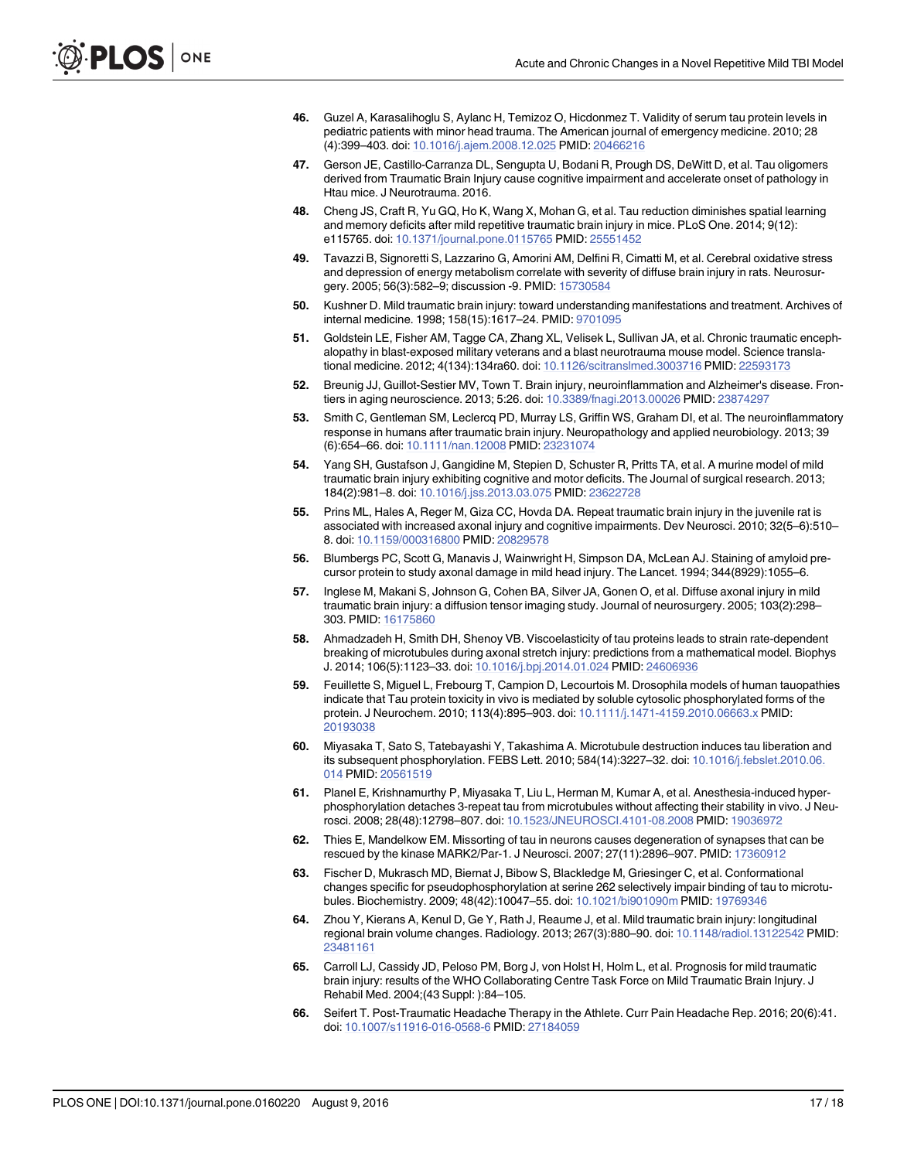- <span id="page-16-0"></span>[46.](#page-12-0) Guzel A, Karasalihoglu S, Aylanc H, Temizoz O, Hicdonmez T. Validity of serum tau protein levels in pediatric patients with minor head trauma. The American journal of emergency medicine. 2010; 28 (4):399–403. doi: [10.1016/j.ajem.2008.12.025](http://dx.doi.org/10.1016/j.ajem.2008.12.025) PMID: [20466216](http://www.ncbi.nlm.nih.gov/pubmed/20466216)
- [47.](#page-12-0) Gerson JE, Castillo-Carranza DL, Sengupta U, Bodani R, Prough DS, DeWitt D, et al. Tau oligomers derived from Traumatic Brain Injury cause cognitive impairment and accelerate onset of pathology in Htau mice. J Neurotrauma. 2016.
- [48.](#page-12-0) Cheng JS, Craft R, Yu GQ, Ho K, Wang X, Mohan G, et al. Tau reduction diminishes spatial learning and memory deficits after mild repetitive traumatic brain injury in mice. PLoS One. 2014; 9(12): e115765. doi: [10.1371/journal.pone.0115765](http://dx.doi.org/10.1371/journal.pone.0115765) PMID: [25551452](http://www.ncbi.nlm.nih.gov/pubmed/25551452)
- [49.](#page-12-0) Tavazzi B, Signoretti S, Lazzarino G, Amorini AM, Delfini R, Cimatti M, et al. Cerebral oxidative stress and depression of energy metabolism correlate with severity of diffuse brain injury in rats. Neurosurgery. 2005; 56(3):582–9; discussion -9. PMID: [15730584](http://www.ncbi.nlm.nih.gov/pubmed/15730584)
- [50.](#page-12-0) Kushner D. Mild traumatic brain injury: toward understanding manifestations and treatment. Archives of internal medicine. 1998; 158(15):1617–24. PMID: [9701095](http://www.ncbi.nlm.nih.gov/pubmed/9701095)
- [51.](#page-12-0) Goldstein LE, Fisher AM, Tagge CA, Zhang XL, Velisek L, Sullivan JA, et al. Chronic traumatic encephalopathy in blast-exposed military veterans and a blast neurotrauma mouse model. Science translational medicine. 2012; 4(134):134ra60. doi: [10.1126/scitranslmed.3003716](http://dx.doi.org/10.1126/scitranslmed.3003716) PMID: [22593173](http://www.ncbi.nlm.nih.gov/pubmed/22593173)
- [52.](#page-12-0) Breunig JJ, Guillot-Sestier MV, Town T. Brain injury, neuroinflammation and Alzheimer's disease. Frontiers in aging neuroscience. 2013; 5:26. doi: [10.3389/fnagi.2013.00026](http://dx.doi.org/10.3389/fnagi.2013.00026) PMID: [23874297](http://www.ncbi.nlm.nih.gov/pubmed/23874297)
- [53.](#page-12-0) Smith C, Gentleman SM, Leclercq PD, Murray LS, Griffin WS, Graham DI, et al. The neuroinflammatory response in humans after traumatic brain injury. Neuropathology and applied neurobiology. 2013; 39 (6):654–66. doi: [10.1111/nan.12008](http://dx.doi.org/10.1111/nan.12008) PMID: [23231074](http://www.ncbi.nlm.nih.gov/pubmed/23231074)
- [54.](#page-12-0) Yang SH, Gustafson J, Gangidine M, Stepien D, Schuster R, Pritts TA, et al. A murine model of mild traumatic brain injury exhibiting cognitive and motor deficits. The Journal of surgical research. 2013; 184(2):981–8. doi: [10.1016/j.jss.2013.03.075](http://dx.doi.org/10.1016/j.jss.2013.03.075) PMID: [23622728](http://www.ncbi.nlm.nih.gov/pubmed/23622728)
- [55.](#page-12-0) Prins ML, Hales A, Reger M, Giza CC, Hovda DA. Repeat traumatic brain injury in the juvenile rat is associated with increased axonal injury and cognitive impairments. Dev Neurosci. 2010; 32(5–6):510– 8. doi: [10.1159/000316800](http://dx.doi.org/10.1159/000316800) PMID: [20829578](http://www.ncbi.nlm.nih.gov/pubmed/20829578)
- [56.](#page-12-0) Blumbergs PC, Scott G, Manavis J, Wainwright H, Simpson DA, McLean AJ. Staining of amyloid precursor protein to study axonal damage in mild head injury. The Lancet. 1994; 344(8929):1055–6.
- [57.](#page-12-0) Inglese M, Makani S, Johnson G, Cohen BA, Silver JA, Gonen O, et al. Diffuse axonal injury in mild traumatic brain injury: a diffusion tensor imaging study. Journal of neurosurgery. 2005; 103(2):298– 303. PMID: [16175860](http://www.ncbi.nlm.nih.gov/pubmed/16175860)
- [58.](#page-12-0) Ahmadzadeh H, Smith DH, Shenoy VB. Viscoelasticity of tau proteins leads to strain rate-dependent breaking of microtubules during axonal stretch injury: predictions from a mathematical model. Biophys J. 2014; 106(5):1123–33. doi: [10.1016/j.bpj.2014.01.024](http://dx.doi.org/10.1016/j.bpj.2014.01.024) PMID: [24606936](http://www.ncbi.nlm.nih.gov/pubmed/24606936)
- [59.](#page-12-0) Feuillette S, Miguel L, Frebourg T, Campion D, Lecourtois M. Drosophila models of human tauopathies indicate that Tau protein toxicity in vivo is mediated by soluble cytosolic phosphorylated forms of the protein. J Neurochem. 2010; 113(4):895–903. doi: [10.1111/j.1471-4159.2010.06663.x](http://dx.doi.org/10.1111/j.1471-4159.2010.06663.x) PMID: [20193038](http://www.ncbi.nlm.nih.gov/pubmed/20193038)
- 60. Miyasaka T, Sato S, Tatebayashi Y, Takashima A. Microtubule destruction induces tau liberation and its subsequent phosphorylation. FEBS Lett. 2010; 584(14):3227–32. doi: [10.1016/j.febslet.2010.06.](http://dx.doi.org/10.1016/j.febslet.2010.06.014) [014](http://dx.doi.org/10.1016/j.febslet.2010.06.014) PMID: [20561519](http://www.ncbi.nlm.nih.gov/pubmed/20561519)
- 61. Planel E, Krishnamurthy P, Miyasaka T, Liu L, Herman M, Kumar A, et al. Anesthesia-induced hyperphosphorylation detaches 3-repeat tau from microtubules without affecting their stability in vivo. J Neurosci. 2008; 28(48):12798–807. doi: [10.1523/JNEUROSCI.4101-08.2008](http://dx.doi.org/10.1523/JNEUROSCI.4101-08.2008) PMID: [19036972](http://www.ncbi.nlm.nih.gov/pubmed/19036972)
- [62.](#page-12-0) Thies E, Mandelkow EM. Missorting of tau in neurons causes degeneration of synapses that can be rescued by the kinase MARK2/Par-1. J Neurosci. 2007; 27(11):2896–907. PMID: [17360912](http://www.ncbi.nlm.nih.gov/pubmed/17360912)
- [63.](#page-12-0) Fischer D, Mukrasch MD, Biernat J, Bibow S, Blackledge M, Griesinger C, et al. Conformational changes specific for pseudophosphorylation at serine 262 selectively impair binding of tau to microtubules. Biochemistry. 2009; 48(42):10047–55. doi: [10.1021/bi901090m](http://dx.doi.org/10.1021/bi901090m) PMID: [19769346](http://www.ncbi.nlm.nih.gov/pubmed/19769346)
- [64.](#page-13-0) Zhou Y, Kierans A, Kenul D, Ge Y, Rath J, Reaume J, et al. Mild traumatic brain injury: longitudinal regional brain volume changes. Radiology. 2013; 267(3):880–90. doi: [10.1148/radiol.13122542](http://dx.doi.org/10.1148/radiol.13122542) PMID: [23481161](http://www.ncbi.nlm.nih.gov/pubmed/23481161)
- [65.](#page-13-0) Carroll LJ, Cassidy JD, Peloso PM, Borg J, von Holst H, Holm L, et al. Prognosis for mild traumatic brain injury: results of the WHO Collaborating Centre Task Force on Mild Traumatic Brain Injury. J Rehabil Med. 2004;(43 Suppl: ):84–105.
- [66.](#page-13-0) Seifert T. Post-Traumatic Headache Therapy in the Athlete. Curr Pain Headache Rep. 2016; 20(6):41. doi: [10.1007/s11916-016-0568-6](http://dx.doi.org/10.1007/s11916-016-0568-6) PMID: [27184059](http://www.ncbi.nlm.nih.gov/pubmed/27184059)